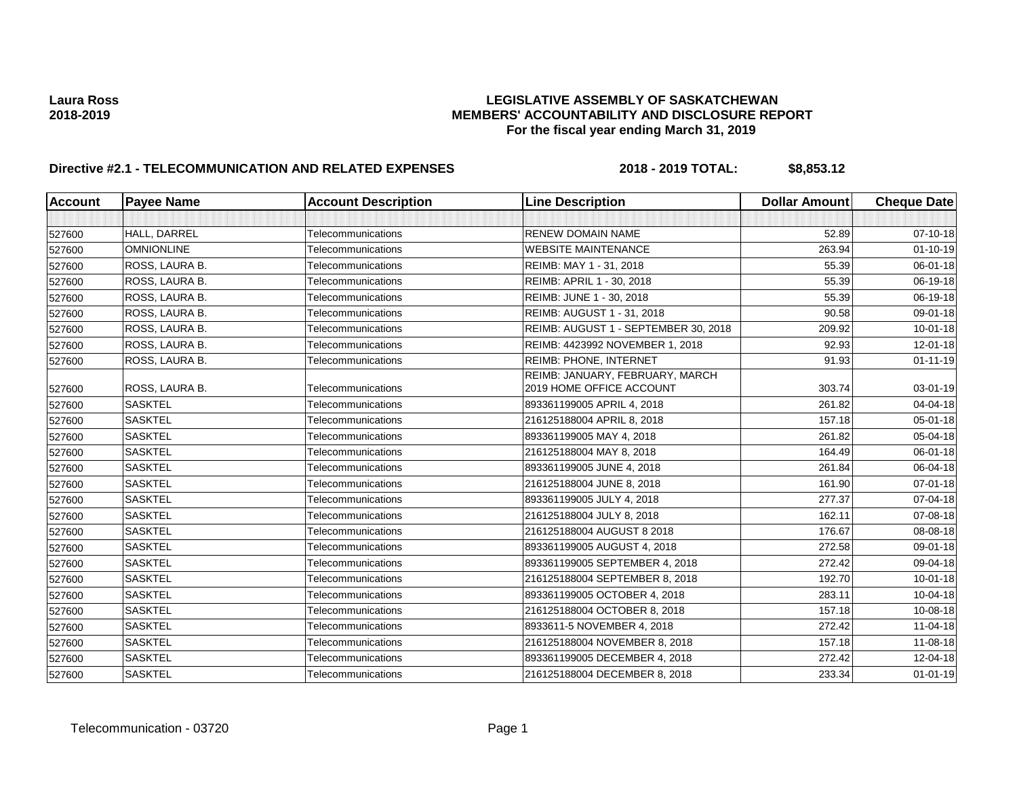| <b>Account</b> | <b>Payee Name</b> | <b>Account Description</b> | <b>Line Description</b>                                     | <b>Dollar Amount</b> | <b>Cheque Date</b> |
|----------------|-------------------|----------------------------|-------------------------------------------------------------|----------------------|--------------------|
|                |                   |                            |                                                             |                      |                    |
| 527600         | HALL, DARREL      | Telecommunications         | <b>RENEW DOMAIN NAME</b>                                    | 52.89                | 07-10-18           |
| 527600         | <b>OMNIONLINE</b> | Telecommunications         | <b>WEBSITE MAINTENANCE</b>                                  | 263.94               | $01 - 10 - 19$     |
| 527600         | ROSS, LAURA B.    | Telecommunications         | REIMB: MAY 1 - 31, 2018                                     | 55.39                | 06-01-18           |
| 527600         | ROSS, LAURA B.    | Telecommunications         | REIMB: APRIL 1 - 30, 2018                                   | 55.39                | 06-19-18           |
| 527600         | ROSS, LAURA B.    | Telecommunications         | REIMB: JUNE 1 - 30, 2018                                    | 55.39                | 06-19-18           |
| 527600         | ROSS, LAURA B.    | Telecommunications         | REIMB: AUGUST 1 - 31, 2018                                  | 90.58                | 09-01-18           |
| 527600         | ROSS, LAURA B.    | Telecommunications         | REIMB: AUGUST 1 - SEPTEMBER 30, 2018                        | 209.92               | $10 - 01 - 18$     |
| 527600         | ROSS, LAURA B.    | Telecommunications         | REIMB: 4423992 NOVEMBER 1, 2018                             | 92.93                | $12 - 01 - 18$     |
| 527600         | ROSS, LAURA B.    | Telecommunications         | REIMB: PHONE, INTERNET                                      | 91.93                | $01 - 11 - 19$     |
| 527600         | ROSS, LAURA B.    | Telecommunications         | REIMB: JANUARY, FEBRUARY, MARCH<br>2019 HOME OFFICE ACCOUNT | 303.74               | 03-01-19           |
| 527600         | <b>SASKTEL</b>    | Telecommunications         | 893361199005 APRIL 4, 2018                                  | 261.82               | 04-04-18           |
| 527600         | <b>SASKTEL</b>    | Telecommunications         | 216125188004 APRIL 8, 2018                                  | 157.18               | 05-01-18           |
| 527600         | <b>SASKTEL</b>    | Telecommunications         | 893361199005 MAY 4, 2018                                    | 261.82               | 05-04-18           |
| 527600         | <b>SASKTEL</b>    | Telecommunications         | 216125188004 MAY 8, 2018                                    | 164.49               | 06-01-18           |
| 527600         | <b>SASKTEL</b>    | Telecommunications         | 893361199005 JUNE 4, 2018                                   | 261.84               | 06-04-18           |
| 527600         | <b>SASKTEL</b>    | Telecommunications         | 216125188004 JUNE 8, 2018                                   | 161.90               | $07 - 01 - 18$     |
| 527600         | <b>SASKTEL</b>    | Telecommunications         | 893361199005 JULY 4, 2018                                   | 277.37               | 07-04-18           |
| 527600         | <b>SASKTEL</b>    | Telecommunications         | 216125188004 JULY 8, 2018                                   | 162.11               | 07-08-18           |
| 527600         | <b>SASKTEL</b>    | Telecommunications         | 216125188004 AUGUST 8 2018                                  | 176.67               | 08-08-18           |
| 527600         | <b>SASKTEL</b>    | Telecommunications         | 893361199005 AUGUST 4, 2018                                 | 272.58               | 09-01-18           |
| 527600         | <b>SASKTEL</b>    | Telecommunications         | 893361199005 SEPTEMBER 4, 2018                              | 272.42               | 09-04-18           |
| 527600         | <b>SASKTEL</b>    | Telecommunications         | 216125188004 SEPTEMBER 8, 2018                              | 192.70               | $10 - 01 - 18$     |
| 527600         | <b>SASKTEL</b>    | Telecommunications         | 893361199005 OCTOBER 4, 2018                                | 283.11               | 10-04-18           |
| 527600         | <b>SASKTEL</b>    | Telecommunications         | 216125188004 OCTOBER 8, 2018                                | 157.18               | 10-08-18           |
| 527600         | <b>SASKTEL</b>    | Telecommunications         | 8933611-5 NOVEMBER 4, 2018                                  | 272.42               | 11-04-18           |
| 527600         | <b>SASKTEL</b>    | Telecommunications         | 216125188004 NOVEMBER 8, 2018                               | 157.18               | 11-08-18           |
| 527600         | <b>SASKTEL</b>    | Telecommunications         | 893361199005 DECEMBER 4, 2018                               | 272.42               | 12-04-18           |
| 527600         | <b>SASKTEL</b>    | Telecommunications         | 216125188004 DECEMBER 8, 2018                               | 233.34               | $01 - 01 - 19$     |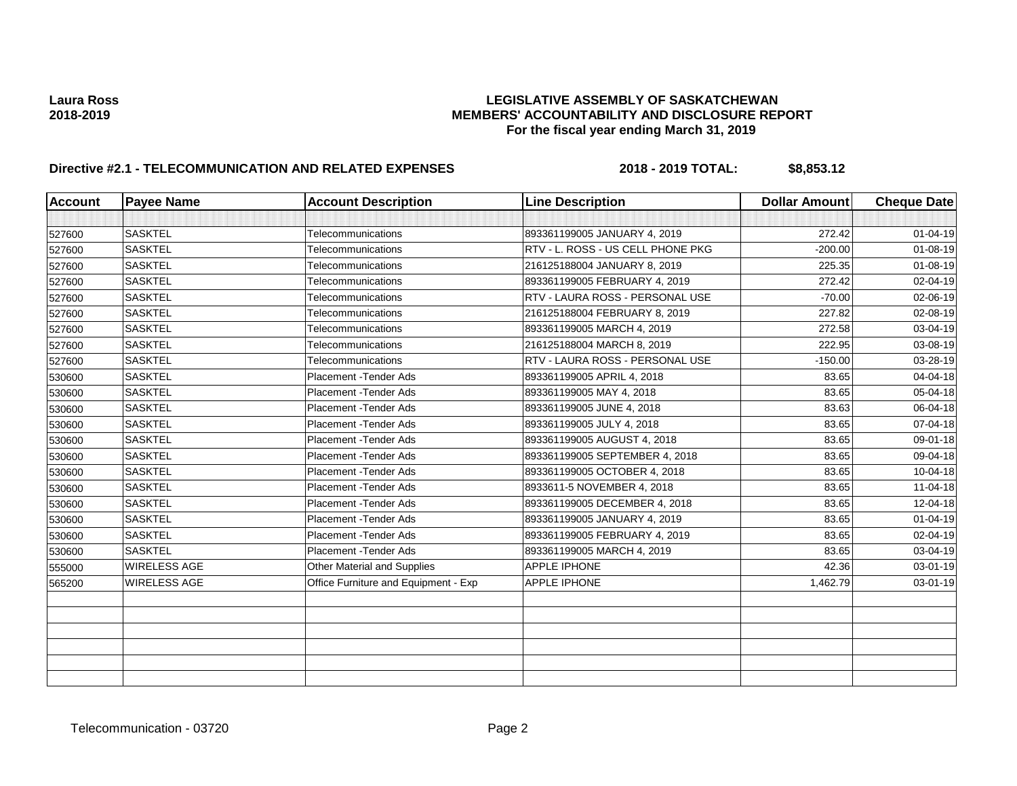| <b>Account</b> | <b>Payee Name</b>   | <b>Account Description</b>           | <b>Line Description</b>           | <b>Dollar Amount</b> | <b>Cheque Date</b> |
|----------------|---------------------|--------------------------------------|-----------------------------------|----------------------|--------------------|
|                |                     |                                      |                                   |                      |                    |
| 527600         | <b>SASKTEL</b>      | Telecommunications                   | 893361199005 JANUARY 4, 2019      | 272.42               | $01 - 04 - 19$     |
| 527600         | <b>SASKTEL</b>      | Telecommunications                   | RTV - L. ROSS - US CELL PHONE PKG | $-200.00$            | $01 - 08 - 19$     |
| 527600         | <b>SASKTEL</b>      | Telecommunications                   | 216125188004 JANUARY 8, 2019      | 225.35               | 01-08-19           |
| 527600         | <b>SASKTEL</b>      | Telecommunications                   | 893361199005 FEBRUARY 4, 2019     | 272.42               | 02-04-19           |
| 527600         | <b>SASKTEL</b>      | Telecommunications                   | RTV - LAURA ROSS - PERSONAL USE   | $-70.00$             | 02-06-19           |
| 527600         | <b>SASKTEL</b>      | Telecommunications                   | 216125188004 FEBRUARY 8, 2019     | 227.82               | 02-08-19           |
| 527600         | <b>SASKTEL</b>      | Telecommunications                   | 893361199005 MARCH 4, 2019        | 272.58               | 03-04-19           |
| 527600         | <b>SASKTEL</b>      | Telecommunications                   | 216125188004 MARCH 8, 2019        | 222.95               | 03-08-19           |
| 527600         | <b>SASKTEL</b>      | Telecommunications                   | RTV - LAURA ROSS - PERSONAL USE   | $-150.00$            | 03-28-19           |
| 530600         | <b>SASKTEL</b>      | Placement - Tender Ads               | 893361199005 APRIL 4, 2018        | 83.65                | 04-04-18           |
| 530600         | <b>SASKTEL</b>      | Placement - Tender Ads               | 893361199005 MAY 4, 2018          | 83.65                | 05-04-18           |
| 530600         | <b>SASKTEL</b>      | Placement - Tender Ads               | 893361199005 JUNE 4, 2018         | 83.63                | 06-04-18           |
| 530600         | <b>SASKTEL</b>      | Placement - Tender Ads               | 893361199005 JULY 4, 2018         | 83.65                | 07-04-18           |
| 530600         | <b>SASKTEL</b>      | Placement - Tender Ads               | 893361199005 AUGUST 4, 2018       | 83.65                | 09-01-18           |
| 530600         | <b>SASKTEL</b>      | Placement - Tender Ads               | 893361199005 SEPTEMBER 4, 2018    | 83.65                | 09-04-18           |
| 530600         | <b>SASKTEL</b>      | Placement - Tender Ads               | 893361199005 OCTOBER 4, 2018      | 83.65                | 10-04-18           |
| 530600         | <b>SASKTEL</b>      | Placement - Tender Ads               | 8933611-5 NOVEMBER 4, 2018        | 83.65                | 11-04-18           |
| 530600         | <b>SASKTEL</b>      | Placement - Tender Ads               | 893361199005 DECEMBER 4, 2018     | 83.65                | 12-04-18           |
| 530600         | <b>SASKTEL</b>      | Placement - Tender Ads               | 893361199005 JANUARY 4, 2019      | 83.65                | $01 - 04 - 19$     |
| 530600         | <b>SASKTEL</b>      | Placement - Tender Ads               | 893361199005 FEBRUARY 4, 2019     | 83.65                | 02-04-19           |
| 530600         | <b>SASKTEL</b>      | Placement - Tender Ads               | 893361199005 MARCH 4, 2019        | 83.65                | 03-04-19           |
| 555000         | <b>WIRELESS AGE</b> | Other Material and Supplies          | <b>APPLE IPHONE</b>               | 42.36                | 03-01-19           |
| 565200         | WIRELESS AGE        | Office Furniture and Equipment - Exp | APPLE IPHONE                      | 1,462.79             | 03-01-19           |
|                |                     |                                      |                                   |                      |                    |
|                |                     |                                      |                                   |                      |                    |
|                |                     |                                      |                                   |                      |                    |
|                |                     |                                      |                                   |                      |                    |
|                |                     |                                      |                                   |                      |                    |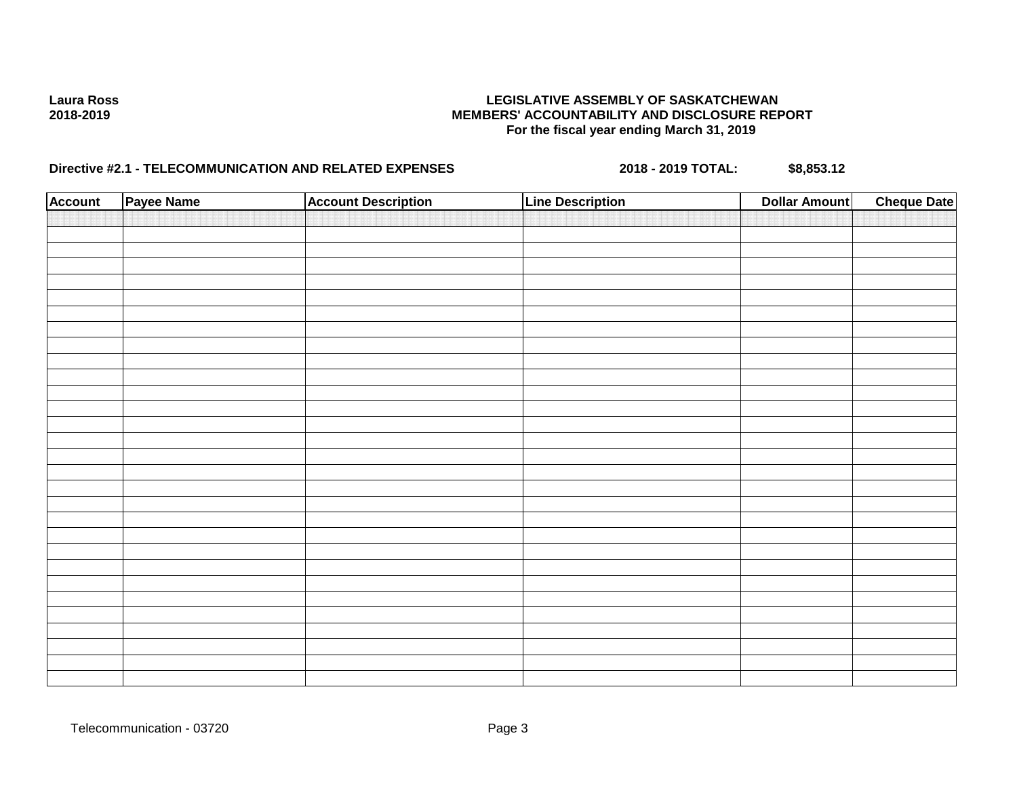| <b>Account</b><br><b>Account Description</b><br><b>Line Description</b> | <b>Cheque Date</b> |
|-------------------------------------------------------------------------|--------------------|
|                                                                         |                    |
|                                                                         |                    |
|                                                                         |                    |
|                                                                         |                    |
|                                                                         |                    |
|                                                                         |                    |
|                                                                         |                    |
|                                                                         |                    |
|                                                                         |                    |
|                                                                         |                    |
|                                                                         |                    |
|                                                                         |                    |
|                                                                         |                    |
|                                                                         |                    |
|                                                                         |                    |
|                                                                         |                    |
|                                                                         |                    |
|                                                                         |                    |
|                                                                         |                    |
|                                                                         |                    |
|                                                                         |                    |
|                                                                         |                    |
|                                                                         |                    |
|                                                                         |                    |
|                                                                         |                    |
|                                                                         |                    |
|                                                                         |                    |
|                                                                         |                    |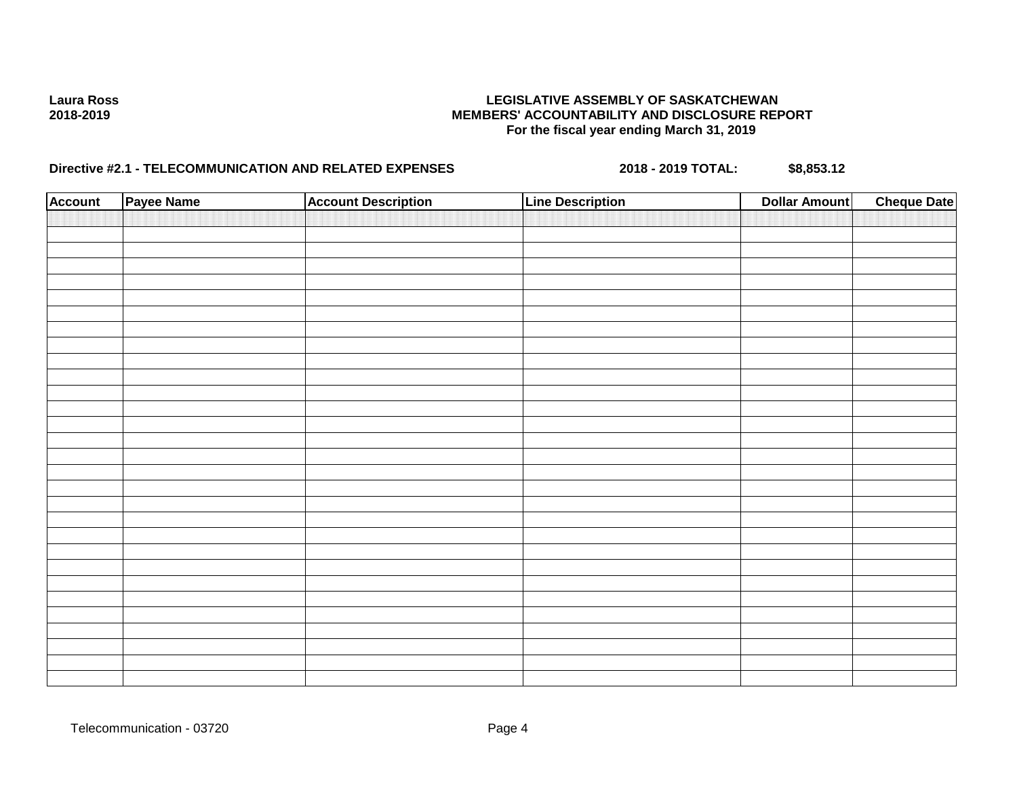| <b>Account</b> | Payee Name | <b>Account Description</b> | <b>Line Description</b> | <b>Dollar Amount</b> | <b>Cheque Date</b> |
|----------------|------------|----------------------------|-------------------------|----------------------|--------------------|
|                |            |                            |                         |                      |                    |
|                |            |                            |                         |                      |                    |
|                |            |                            |                         |                      |                    |
|                |            |                            |                         |                      |                    |
|                |            |                            |                         |                      |                    |
|                |            |                            |                         |                      |                    |
|                |            |                            |                         |                      |                    |
|                |            |                            |                         |                      |                    |
|                |            |                            |                         |                      |                    |
|                |            |                            |                         |                      |                    |
|                |            |                            |                         |                      |                    |
|                |            |                            |                         |                      |                    |
|                |            |                            |                         |                      |                    |
|                |            |                            |                         |                      |                    |
|                |            |                            |                         |                      |                    |
|                |            |                            |                         |                      |                    |
|                |            |                            |                         |                      |                    |
|                |            |                            |                         |                      |                    |
|                |            |                            |                         |                      |                    |
|                |            |                            |                         |                      |                    |
|                |            |                            |                         |                      |                    |
|                |            |                            |                         |                      |                    |
|                |            |                            |                         |                      |                    |
|                |            |                            |                         |                      |                    |
|                |            |                            |                         |                      |                    |
|                |            |                            |                         |                      |                    |
|                |            |                            |                         |                      |                    |
|                |            |                            |                         |                      |                    |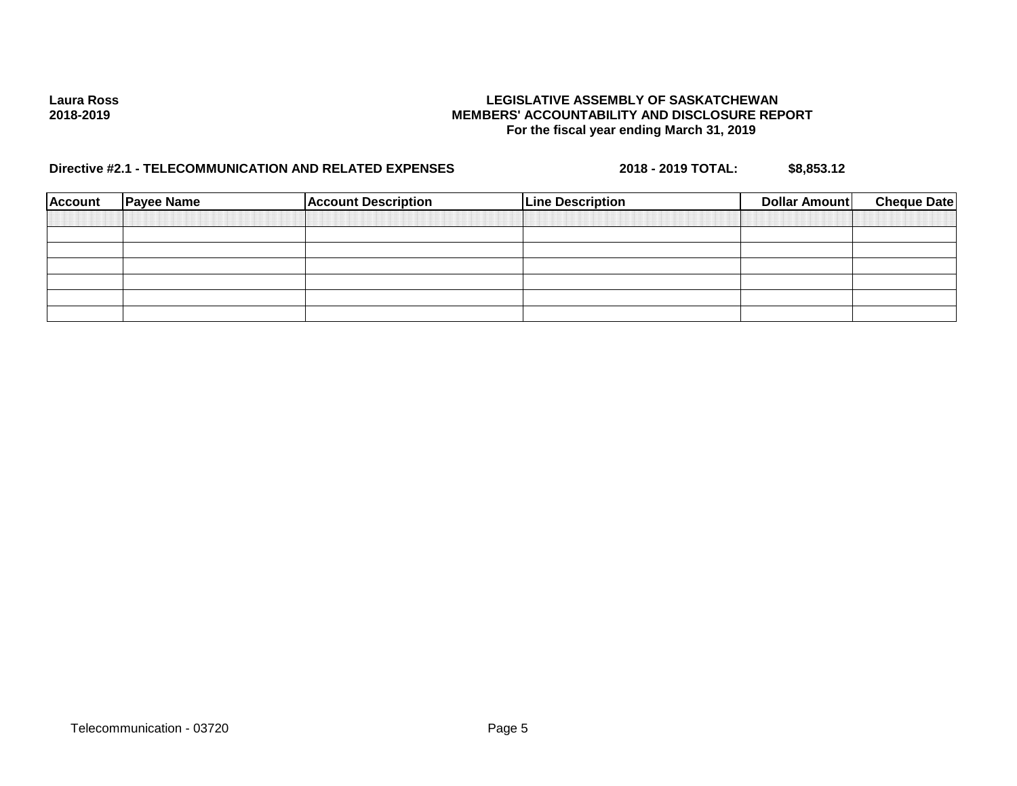| <b>Account</b> | <b>Payee Name</b> | <b>Account Description</b> | <b>Line Description</b> | Dollar Amount | <b>Cheque Date</b> |
|----------------|-------------------|----------------------------|-------------------------|---------------|--------------------|
|                |                   |                            |                         |               |                    |
|                |                   |                            |                         |               |                    |
|                |                   |                            |                         |               |                    |
|                |                   |                            |                         |               |                    |
|                |                   |                            |                         |               |                    |
|                |                   |                            |                         |               |                    |
|                |                   |                            |                         |               |                    |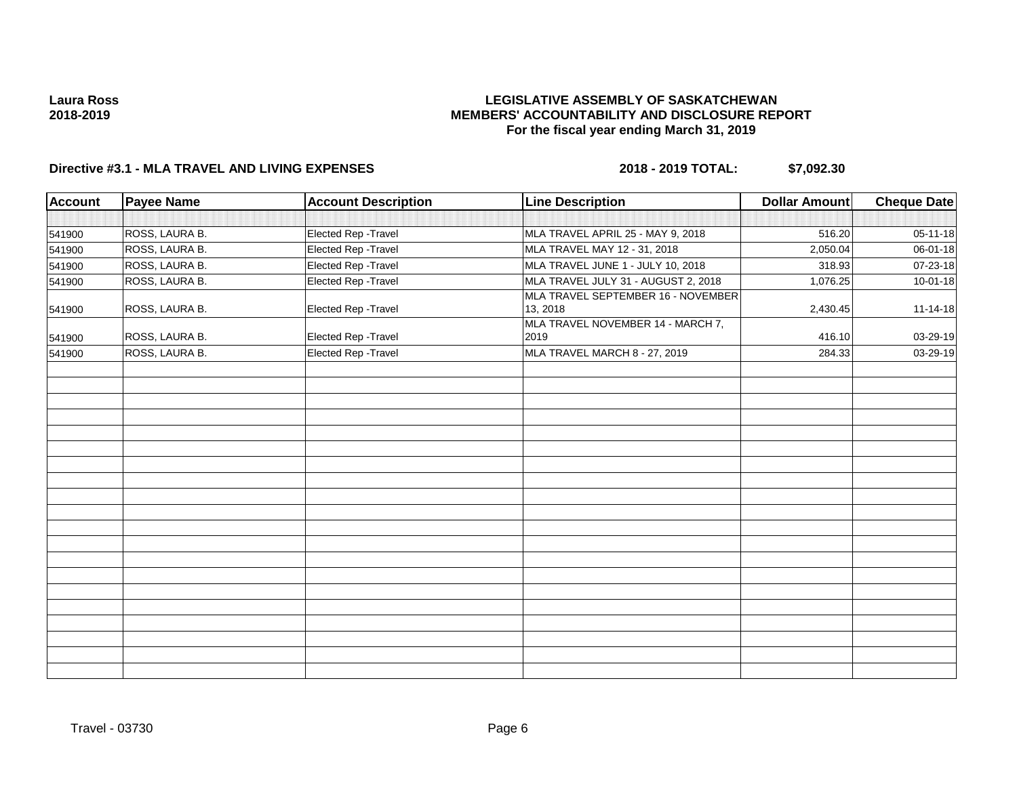### **LEGISLATIVE ASSEMBLY OF SASKATCHEWAN MEMBERS' ACCOUNTABILITY AND DISCLOSURE REPORT For the fiscal year ending March 31, 2019**

| <b>Account</b> | <b>Payee Name</b> | <b>Account Description</b> | <b>Line Description</b>                        | <b>Dollar Amount</b> | Cheque Date |
|----------------|-------------------|----------------------------|------------------------------------------------|----------------------|-------------|
|                |                   |                            |                                                |                      |             |
| 541900         | ROSS, LAURA B.    | Elected Rep - Travel       | MLA TRAVEL APRIL 25 - MAY 9, 2018              | 516.20               | 05-11-18    |
| 541900         | ROSS, LAURA B.    | Elected Rep - Travel       | MLA TRAVEL MAY 12 - 31, 2018                   | 2,050.04             | 06-01-18    |
| 541900         | ROSS, LAURA B.    | Elected Rep - Travel       | MLA TRAVEL JUNE 1 - JULY 10, 2018              | 318.93               | 07-23-18    |
| 541900         | ROSS, LAURA B.    | Elected Rep - Travel       | MLA TRAVEL JULY 31 - AUGUST 2, 2018            | 1,076.25             | 10-01-18    |
| 541900         | ROSS, LAURA B.    | Elected Rep - Travel       | MLA TRAVEL SEPTEMBER 16 - NOVEMBER<br>13, 2018 | 2,430.45             | 11-14-18    |
| 541900         | ROSS, LAURA B.    | Elected Rep - Travel       | MLA TRAVEL NOVEMBER 14 - MARCH 7,<br>2019      | 416.10               | 03-29-19    |
| 541900         | ROSS, LAURA B.    | Elected Rep - Travel       | MLA TRAVEL MARCH 8 - 27, 2019                  | 284.33               | 03-29-19    |
|                |                   |                            |                                                |                      |             |
|                |                   |                            |                                                |                      |             |
|                |                   |                            |                                                |                      |             |
|                |                   |                            |                                                |                      |             |
|                |                   |                            |                                                |                      |             |
|                |                   |                            |                                                |                      |             |
|                |                   |                            |                                                |                      |             |
|                |                   |                            |                                                |                      |             |
|                |                   |                            |                                                |                      |             |
|                |                   |                            |                                                |                      |             |
|                |                   |                            |                                                |                      |             |
|                |                   |                            |                                                |                      |             |
|                |                   |                            |                                                |                      |             |
|                |                   |                            |                                                |                      |             |
|                |                   |                            |                                                |                      |             |
|                |                   |                            |                                                |                      |             |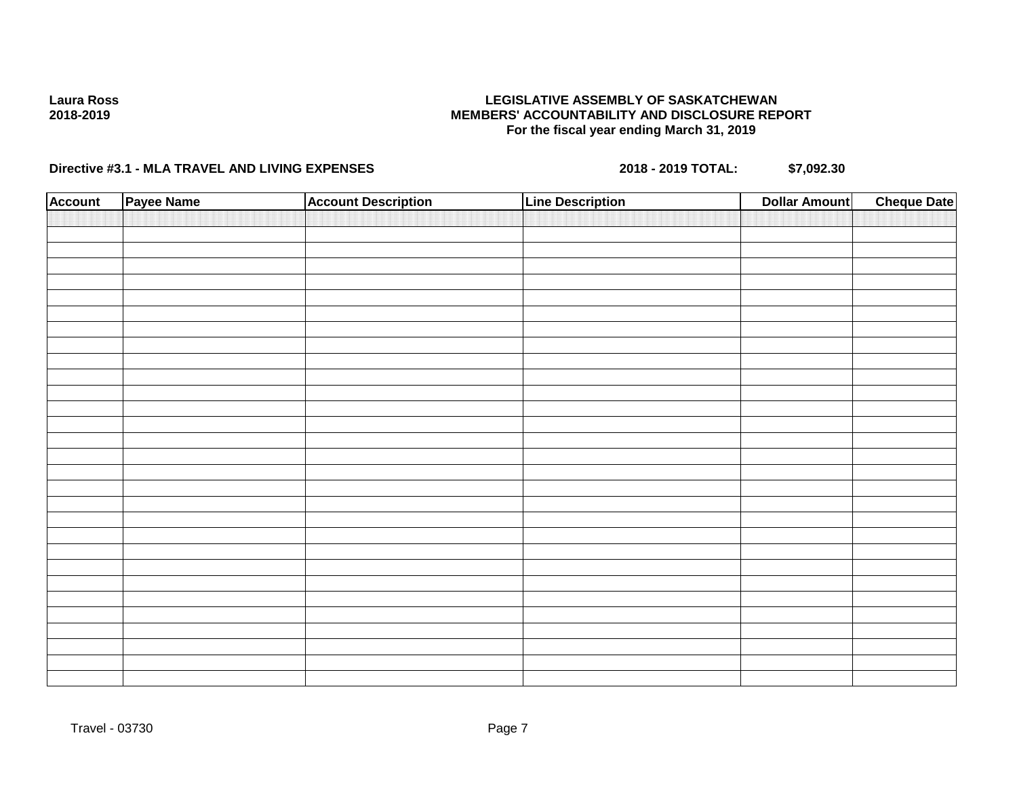### **LEGISLATIVE ASSEMBLY OF SASKATCHEWAN MEMBERS' ACCOUNTABILITY AND DISCLOSURE REPORT For the fiscal year ending March 31, 2019**

| Account | Payee Name | <b>Account Description</b> | <b>Line Description</b> | <b>Cheque Date</b><br><b>Dollar Amount</b> |
|---------|------------|----------------------------|-------------------------|--------------------------------------------|
|         |            |                            |                         |                                            |
|         |            |                            |                         |                                            |
|         |            |                            |                         |                                            |
|         |            |                            |                         |                                            |
|         |            |                            |                         |                                            |
|         |            |                            |                         |                                            |
|         |            |                            |                         |                                            |
|         |            |                            |                         |                                            |
|         |            |                            |                         |                                            |
|         |            |                            |                         |                                            |
|         |            |                            |                         |                                            |
|         |            |                            |                         |                                            |
|         |            |                            |                         |                                            |
|         |            |                            |                         |                                            |
|         |            |                            |                         |                                            |
|         |            |                            |                         |                                            |
|         |            |                            |                         |                                            |
|         |            |                            |                         |                                            |
|         |            |                            |                         |                                            |
|         |            |                            |                         |                                            |
|         |            |                            |                         |                                            |
|         |            |                            |                         |                                            |
|         |            |                            |                         |                                            |
|         |            |                            |                         |                                            |
|         |            |                            |                         |                                            |
|         |            |                            |                         |                                            |
|         |            |                            |                         |                                            |
|         |            |                            |                         |                                            |
|         |            |                            |                         |                                            |
|         |            |                            |                         |                                            |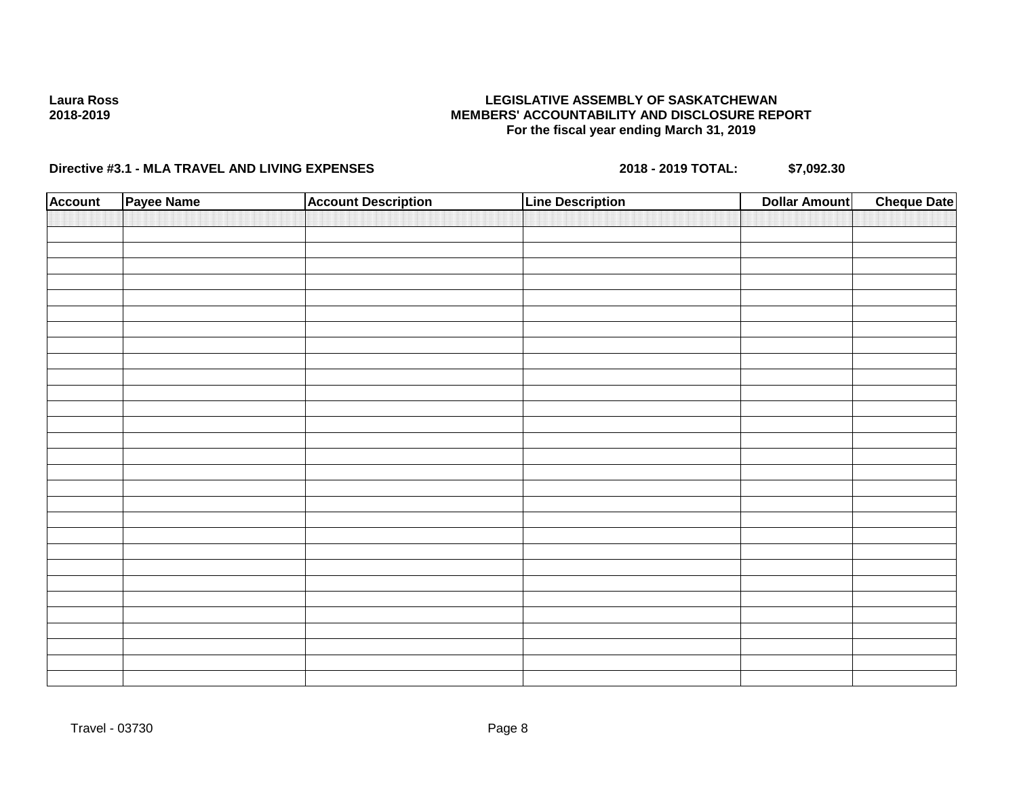### **LEGISLATIVE ASSEMBLY OF SASKATCHEWAN MEMBERS' ACCOUNTABILITY AND DISCLOSURE REPORT For the fiscal year ending March 31, 2019**

| Account | Payee Name | <b>Account Description</b> | <b>Line Description</b> | <b>Cheque Date</b><br><b>Dollar Amount</b> |
|---------|------------|----------------------------|-------------------------|--------------------------------------------|
|         |            |                            |                         |                                            |
|         |            |                            |                         |                                            |
|         |            |                            |                         |                                            |
|         |            |                            |                         |                                            |
|         |            |                            |                         |                                            |
|         |            |                            |                         |                                            |
|         |            |                            |                         |                                            |
|         |            |                            |                         |                                            |
|         |            |                            |                         |                                            |
|         |            |                            |                         |                                            |
|         |            |                            |                         |                                            |
|         |            |                            |                         |                                            |
|         |            |                            |                         |                                            |
|         |            |                            |                         |                                            |
|         |            |                            |                         |                                            |
|         |            |                            |                         |                                            |
|         |            |                            |                         |                                            |
|         |            |                            |                         |                                            |
|         |            |                            |                         |                                            |
|         |            |                            |                         |                                            |
|         |            |                            |                         |                                            |
|         |            |                            |                         |                                            |
|         |            |                            |                         |                                            |
|         |            |                            |                         |                                            |
|         |            |                            |                         |                                            |
|         |            |                            |                         |                                            |
|         |            |                            |                         |                                            |
|         |            |                            |                         |                                            |
|         |            |                            |                         |                                            |
|         |            |                            |                         |                                            |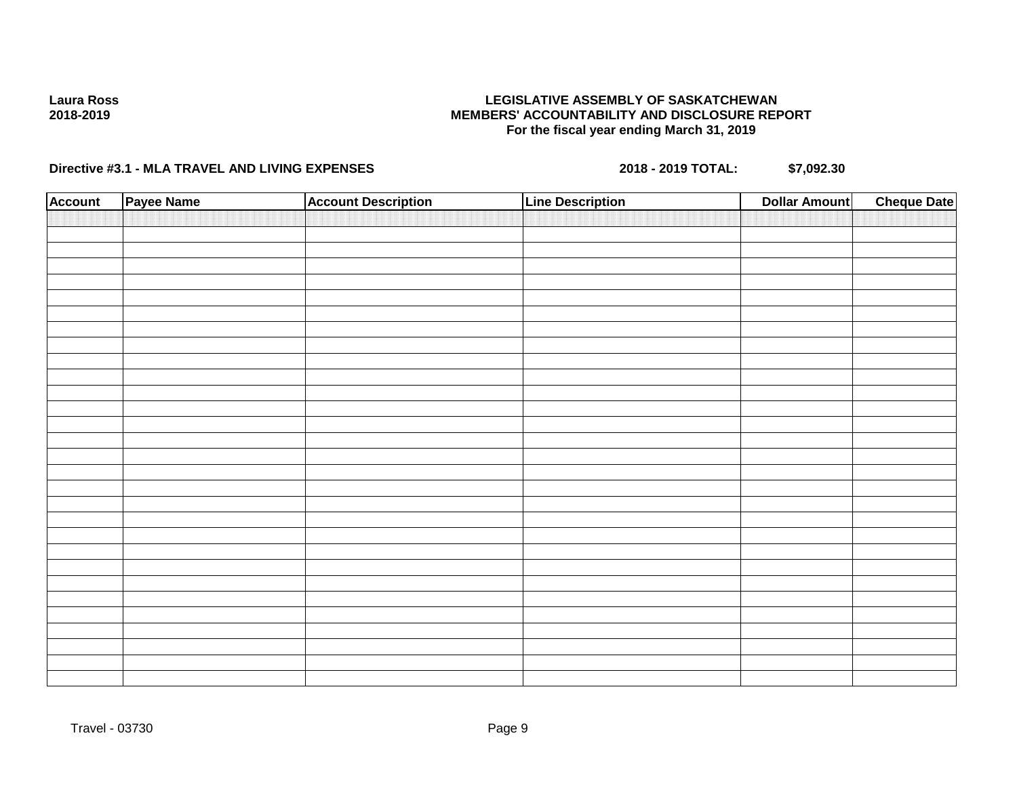### **LEGISLATIVE ASSEMBLY OF SASKATCHEWAN MEMBERS' ACCOUNTABILITY AND DISCLOSURE REPORT For the fiscal year ending March 31, 2019**

| Account | Payee Name | <b>Account Description</b> | <b>Line Description</b> | <b>Cheque Date</b><br><b>Dollar Amount</b> |
|---------|------------|----------------------------|-------------------------|--------------------------------------------|
|         |            |                            |                         |                                            |
|         |            |                            |                         |                                            |
|         |            |                            |                         |                                            |
|         |            |                            |                         |                                            |
|         |            |                            |                         |                                            |
|         |            |                            |                         |                                            |
|         |            |                            |                         |                                            |
|         |            |                            |                         |                                            |
|         |            |                            |                         |                                            |
|         |            |                            |                         |                                            |
|         |            |                            |                         |                                            |
|         |            |                            |                         |                                            |
|         |            |                            |                         |                                            |
|         |            |                            |                         |                                            |
|         |            |                            |                         |                                            |
|         |            |                            |                         |                                            |
|         |            |                            |                         |                                            |
|         |            |                            |                         |                                            |
|         |            |                            |                         |                                            |
|         |            |                            |                         |                                            |
|         |            |                            |                         |                                            |
|         |            |                            |                         |                                            |
|         |            |                            |                         |                                            |
|         |            |                            |                         |                                            |
|         |            |                            |                         |                                            |
|         |            |                            |                         |                                            |
|         |            |                            |                         |                                            |
|         |            |                            |                         |                                            |
|         |            |                            |                         |                                            |
|         |            |                            |                         |                                            |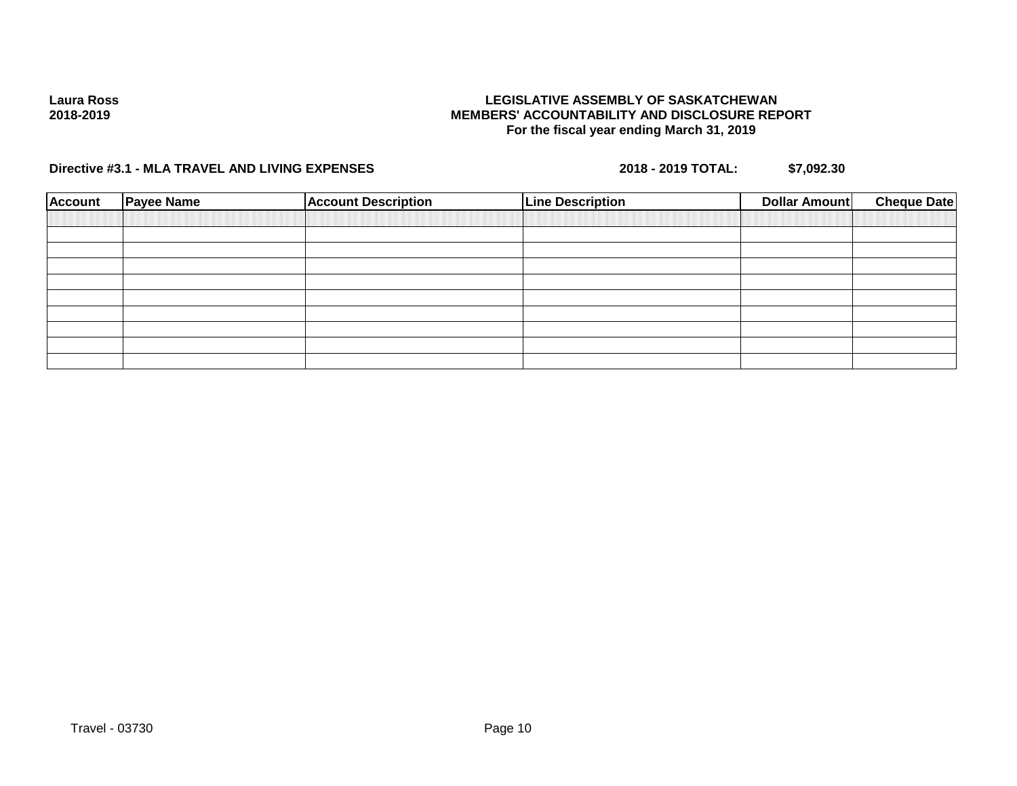### **LEGISLATIVE ASSEMBLY OF SASKATCHEWAN MEMBERS' ACCOUNTABILITY AND DISCLOSURE REPORT For the fiscal year ending March 31, 2019**

| <b>Account</b> | <b>Payee Name</b> | <b>Account Description</b> | <b>Line Description</b> | Dollar Amount | <b>Cheque Date</b> |
|----------------|-------------------|----------------------------|-------------------------|---------------|--------------------|
|                |                   |                            |                         |               |                    |
|                |                   |                            |                         |               |                    |
|                |                   |                            |                         |               |                    |
|                |                   |                            |                         |               |                    |
|                |                   |                            |                         |               |                    |
|                |                   |                            |                         |               |                    |
|                |                   |                            |                         |               |                    |
|                |                   |                            |                         |               |                    |
|                |                   |                            |                         |               |                    |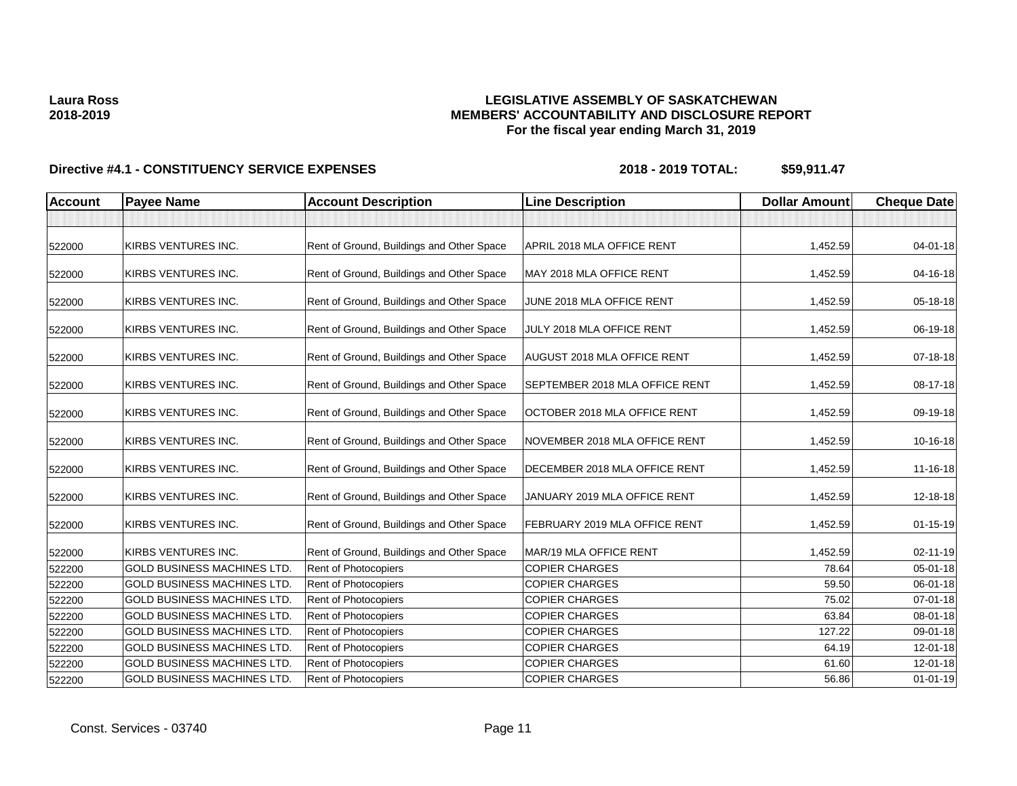### **LEGISLATIVE ASSEMBLY OF SASKATCHEWAN MEMBERS' ACCOUNTABILITY AND DISCLOSURE REPORT For the fiscal year ending March 31, 2019**

| <b>Account</b> | <b>Payee Name</b>                  | <b>Account Description</b>                | <b>Line Description</b>        | <b>Dollar Amount</b> | <b>Cheque Date</b> |
|----------------|------------------------------------|-------------------------------------------|--------------------------------|----------------------|--------------------|
|                |                                    |                                           |                                |                      |                    |
| 522000         | KIRBS VENTURES INC.                | Rent of Ground, Buildings and Other Space | APRIL 2018 MLA OFFICE RENT     | 1,452.59             | 04-01-18           |
| 522000         | KIRBS VENTURES INC.                | Rent of Ground, Buildings and Other Space | MAY 2018 MLA OFFICE RENT       | 1,452.59             | 04-16-18           |
| 522000         | KIRBS VENTURES INC.                | Rent of Ground, Buildings and Other Space | JUNE 2018 MLA OFFICE RENT      | 1,452.59             | 05-18-18           |
| 522000         | KIRBS VENTURES INC.                | Rent of Ground, Buildings and Other Space | JULY 2018 MLA OFFICE RENT      | 1,452.59             | 06-19-18           |
| 522000         | KIRBS VENTURES INC.                | Rent of Ground, Buildings and Other Space | AUGUST 2018 MLA OFFICE RENT    | 1,452.59             | 07-18-18           |
| 522000         | KIRBS VENTURES INC.                | Rent of Ground, Buildings and Other Space | SEPTEMBER 2018 MLA OFFICE RENT | 1,452.59             | 08-17-18           |
| 522000         | KIRBS VENTURES INC.                | Rent of Ground, Buildings and Other Space | OCTOBER 2018 MLA OFFICE RENT   | 1,452.59             | 09-19-18           |
| 522000         | KIRBS VENTURES INC.                | Rent of Ground, Buildings and Other Space | NOVEMBER 2018 MLA OFFICE RENT  | 1,452.59             | 10-16-18           |
| 522000         | KIRBS VENTURES INC.                | Rent of Ground, Buildings and Other Space | DECEMBER 2018 MLA OFFICE RENT  | 1,452.59             | 11-16-18           |
| 522000         | KIRBS VENTURES INC.                | Rent of Ground, Buildings and Other Space | JANUARY 2019 MLA OFFICE RENT   | 1,452.59             | 12-18-18           |
| 522000         | KIRBS VENTURES INC.                | Rent of Ground, Buildings and Other Space | FEBRUARY 2019 MLA OFFICE RENT  | 1,452.59             | $01 - 15 - 19$     |
| 522000         | KIRBS VENTURES INC.                | Rent of Ground, Buildings and Other Space | MAR/19 MLA OFFICE RENT         | 1,452.59             | $02 - 11 - 19$     |
| 522200         | <b>GOLD BUSINESS MACHINES LTD.</b> | <b>Rent of Photocopiers</b>               | <b>COPIER CHARGES</b>          | 78.64                | $05 - 01 - 18$     |
| 522200         | <b>GOLD BUSINESS MACHINES LTD.</b> | Rent of Photocopiers                      | <b>COPIER CHARGES</b>          | 59.50                | 06-01-18           |
| 522200         | <b>GOLD BUSINESS MACHINES LTD.</b> | Rent of Photocopiers                      | <b>COPIER CHARGES</b>          | 75.02                | $07 - 01 - 18$     |
| 522200         | <b>GOLD BUSINESS MACHINES LTD.</b> | Rent of Photocopiers                      | <b>COPIER CHARGES</b>          | 63.84                | 08-01-18           |
| 522200         | <b>GOLD BUSINESS MACHINES LTD.</b> | Rent of Photocopiers                      | <b>COPIER CHARGES</b>          | 127.22               | 09-01-18           |
| 522200         | <b>GOLD BUSINESS MACHINES LTD.</b> | Rent of Photocopiers                      | <b>COPIER CHARGES</b>          | 64.19                | 12-01-18           |
| 522200         | <b>GOLD BUSINESS MACHINES LTD</b>  | Rent of Photocopiers                      | <b>COPIER CHARGES</b>          | 61.60                | 12-01-18           |
| 522200         | <b>GOLD BUSINESS MACHINES LTD.</b> | Rent of Photocopiers                      | <b>COPIER CHARGES</b>          | 56.86                | $01 - 01 - 19$     |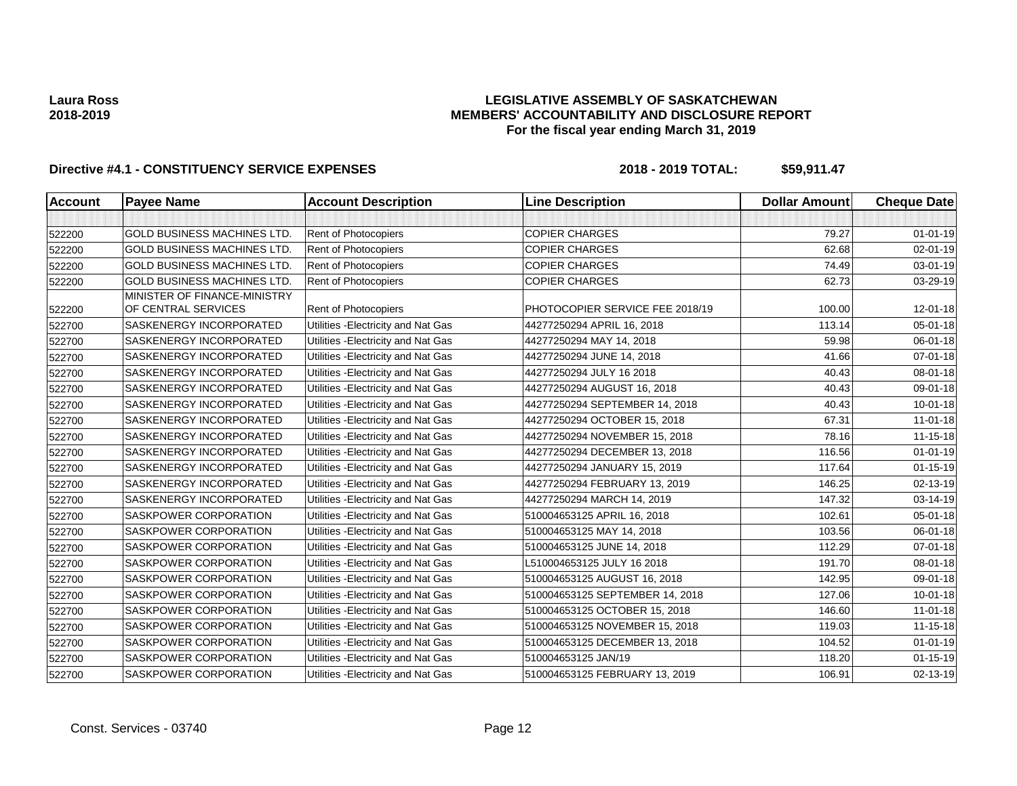### **LEGISLATIVE ASSEMBLY OF SASKATCHEWAN MEMBERS' ACCOUNTABILITY AND DISCLOSURE REPORT For the fiscal year ending March 31, 2019**

| <b>Account</b> | <b>Payee Name</b>                                   | <b>Account Description</b>          | <b>Line Description</b>         | <b>Dollar Amount</b> | <b>Cheque Date</b> |
|----------------|-----------------------------------------------------|-------------------------------------|---------------------------------|----------------------|--------------------|
|                |                                                     |                                     |                                 |                      |                    |
| 522200         | <b>GOLD BUSINESS MACHINES LTD.</b>                  | Rent of Photocopiers                | <b>COPIER CHARGES</b>           | 79.27                | $01 - 01 - 19$     |
| 522200         | <b>GOLD BUSINESS MACHINES LTD.</b>                  | <b>Rent of Photocopiers</b>         | <b>COPIER CHARGES</b>           | 62.68                | $02 - 01 - 19$     |
| 522200         | <b>GOLD BUSINESS MACHINES LTD.</b>                  | Rent of Photocopiers                | <b>COPIER CHARGES</b>           | 74.49                | $03 - 01 - 19$     |
| 522200         | <b>GOLD BUSINESS MACHINES LTD.</b>                  | <b>Rent of Photocopiers</b>         | <b>COPIER CHARGES</b>           | 62.73                | 03-29-19           |
| 522200         | MINISTER OF FINANCE-MINISTRY<br>OF CENTRAL SERVICES | Rent of Photocopiers                | PHOTOCOPIER SERVICE FEE 2018/19 | 100.00               | 12-01-18           |
| 522700         | <b>SASKENERGY INCORPORATED</b>                      | Utilities - Electricity and Nat Gas | 44277250294 APRIL 16, 2018      | 113.14               | $05 - 01 - 18$     |
| 522700         | SASKENERGY INCORPORATED                             | Utilities - Electricity and Nat Gas | 44277250294 MAY 14, 2018        | 59.98                | 06-01-18           |
| 522700         | SASKENERGY INCORPORATED                             | Utilities - Electricity and Nat Gas | 44277250294 JUNE 14, 2018       | 41.66                | 07-01-18           |
| 522700         | SASKENERGY INCORPORATED                             | Utilities - Electricity and Nat Gas | 44277250294 JULY 16 2018        | 40.43                | 08-01-18           |
| 522700         | SASKENERGY INCORPORATED                             | Utilities - Electricity and Nat Gas | 44277250294 AUGUST 16, 2018     | 40.43                | 09-01-18           |
| 522700         | SASKENERGY INCORPORATED                             | Utilities - Electricity and Nat Gas | 44277250294 SEPTEMBER 14, 2018  | 40.43                | $10 - 01 - 18$     |
| 522700         | SASKENERGY INCORPORATED                             | Utilities - Electricity and Nat Gas | 44277250294 OCTOBER 15, 2018    | 67.31                | $11-01-18$         |
| 522700         | SASKENERGY INCORPORATED                             | Utilities - Electricity and Nat Gas | 44277250294 NOVEMBER 15, 2018   | 78.16                | $11 - 15 - 18$     |
| 522700         | SASKENERGY INCORPORATED                             | Utilities - Electricity and Nat Gas | 44277250294 DECEMBER 13, 2018   | 116.56               | $01 - 01 - 19$     |
| 522700         | SASKENERGY INCORPORATED                             | Utilities - Electricity and Nat Gas | 44277250294 JANUARY 15, 2019    | 117.64               | $01 - 15 - 19$     |
| 522700         | SASKENERGY INCORPORATED                             | Utilities - Electricity and Nat Gas | 44277250294 FEBRUARY 13, 2019   | 146.25               | 02-13-19           |
| 522700         | SASKENERGY INCORPORATED                             | Utilities - Electricity and Nat Gas | 44277250294 MARCH 14, 2019      | 147.32               | 03-14-19           |
| 522700         | <b>SASKPOWER CORPORATION</b>                        | Utilities - Electricity and Nat Gas | 510004653125 APRIL 16, 2018     | 102.61               | 05-01-18           |
| 522700         | <b>SASKPOWER CORPORATION</b>                        | Utilities - Electricity and Nat Gas | 510004653125 MAY 14, 2018       | 103.56               | 06-01-18           |
| 522700         | <b>SASKPOWER CORPORATION</b>                        | Utilities - Electricity and Nat Gas | 510004653125 JUNE 14, 2018      | 112.29               | 07-01-18           |
| 522700         | <b>SASKPOWER CORPORATION</b>                        | Utilities - Electricity and Nat Gas | L510004653125 JULY 16 2018      | 191.70               | 08-01-18           |
| 522700         | SASKPOWER CORPORATION                               | Utilities - Electricity and Nat Gas | 510004653125 AUGUST 16, 2018    | 142.95               | 09-01-18           |
| 522700         | <b>SASKPOWER CORPORATION</b>                        | Utilities - Electricity and Nat Gas | 510004653125 SEPTEMBER 14, 2018 | 127.06               | $10 - 01 - 18$     |
| 522700         | <b>SASKPOWER CORPORATION</b>                        | Utilities - Electricity and Nat Gas | 510004653125 OCTOBER 15, 2018   | 146.60               | $11-01-18$         |
| 522700         | SASKPOWER CORPORATION                               | Utilities - Electricity and Nat Gas | 510004653125 NOVEMBER 15, 2018  | 119.03               | $11 - 15 - 18$     |
| 522700         | <b>SASKPOWER CORPORATION</b>                        | Utilities - Electricity and Nat Gas | 510004653125 DECEMBER 13, 2018  | 104.52               | $01 - 01 - 19$     |
| 522700         | SASKPOWER CORPORATION                               | Utilities - Electricity and Nat Gas | 510004653125 JAN/19             | 118.20               | $01 - 15 - 19$     |
| 522700         | SASKPOWER CORPORATION                               | Utilities - Electricity and Nat Gas | 510004653125 FEBRUARY 13, 2019  | 106.91               | 02-13-19           |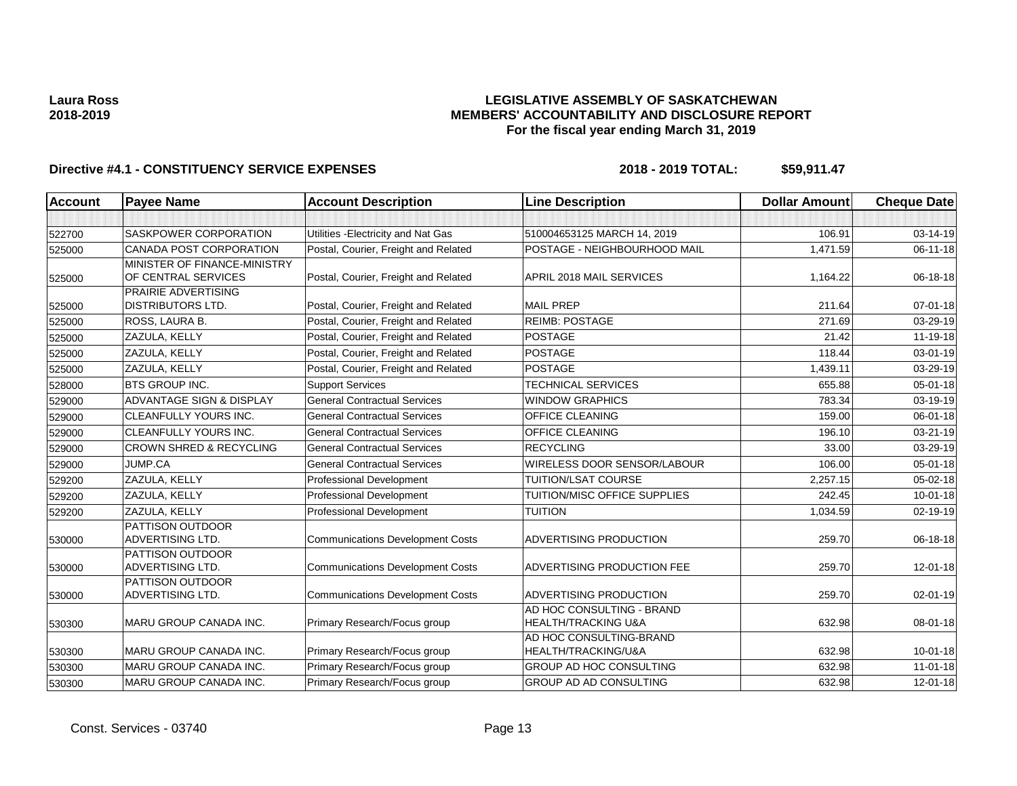### **LEGISLATIVE ASSEMBLY OF SASKATCHEWAN MEMBERS' ACCOUNTABILITY AND DISCLOSURE REPORT For the fiscal year ending March 31, 2019**

| <b>Account</b> | <b>Payee Name</b>                                   | <b>Account Description</b>              | <b>Line Description</b>                                     | <b>Dollar Amount</b> | <b>Cheque Date</b> |
|----------------|-----------------------------------------------------|-----------------------------------------|-------------------------------------------------------------|----------------------|--------------------|
|                |                                                     |                                         |                                                             |                      |                    |
| 522700         | SASKPOWER CORPORATION                               | Utilities - Electricity and Nat Gas     | 510004653125 MARCH 14, 2019                                 | 106.91               | 03-14-19           |
| 525000         | <b>CANADA POST CORPORATION</b>                      | Postal, Courier, Freight and Related    | POSTAGE - NEIGHBOURHOOD MAIL                                | 1,471.59             | $06 - 11 - 18$     |
| 525000         | MINISTER OF FINANCE-MINISTRY<br>OF CENTRAL SERVICES | Postal, Courier, Freight and Related    | APRIL 2018 MAIL SERVICES                                    | 1,164.22             | 06-18-18           |
|                | PRAIRIE ADVERTISING                                 |                                         |                                                             |                      |                    |
| 525000         | <b>DISTRIBUTORS LTD.</b>                            | Postal, Courier, Freight and Related    | <b>MAIL PREP</b>                                            | 211.64               | $07 - 01 - 18$     |
| 525000         | ROSS, LAURA B.                                      | Postal, Courier, Freight and Related    | <b>REIMB: POSTAGE</b>                                       | 271.69               | 03-29-19           |
| 525000         | ZAZULA, KELLY                                       | Postal, Courier, Freight and Related    | <b>POSTAGE</b>                                              | 21.42                | 11-19-18           |
| 525000         | ZAZULA, KELLY                                       | Postal, Courier, Freight and Related    | <b>POSTAGE</b>                                              | 118.44               | 03-01-19           |
| 525000         | ZAZULA, KELLY                                       | Postal, Courier, Freight and Related    | <b>POSTAGE</b>                                              | 1,439.11             | 03-29-19           |
| 528000         | BTS GROUP INC.                                      | <b>Support Services</b>                 | <b>TECHNICAL SERVICES</b>                                   | 655.88               | 05-01-18           |
| 529000         | ADVANTAGE SIGN & DISPLAY                            | <b>General Contractual Services</b>     | <b>WINDOW GRAPHICS</b>                                      | 783.34               | 03-19-19           |
| 529000         | <b>CLEANFULLY YOURS INC.</b>                        | <b>General Contractual Services</b>     | <b>OFFICE CLEANING</b>                                      | 159.00               | 06-01-18           |
| 529000         | CLEANFULLY YOURS INC.                               | <b>General Contractual Services</b>     | OFFICE CLEANING                                             | 196.10               | 03-21-19           |
| 529000         | <b>CROWN SHRED &amp; RECYCLING</b>                  | <b>General Contractual Services</b>     | <b>RECYCLING</b>                                            | 33.00                | 03-29-19           |
| 529000         | JUMP.CA                                             | <b>General Contractual Services</b>     | WIRELESS DOOR SENSOR/LABOUR                                 | 106.00               | 05-01-18           |
| 529200         | ZAZULA, KELLY                                       | Professional Development                | TUITION/LSAT COURSE                                         | 2,257.15             | 05-02-18           |
| 529200         | ZAZULA, KELLY                                       | <b>Professional Development</b>         | TUITION/MISC OFFICE SUPPLIES                                | 242.45               | $10 - 01 - 18$     |
| 529200         | ZAZULA, KELLY                                       | Professional Development                | <b>TUITION</b>                                              | 1,034.59             | 02-19-19           |
| 530000         | PATTISON OUTDOOR<br>ADVERTISING LTD.                | <b>Communications Development Costs</b> | ADVERTISING PRODUCTION                                      | 259.70               | 06-18-18           |
| 530000         | PATTISON OUTDOOR<br><b>ADVERTISING LTD.</b>         | <b>Communications Development Costs</b> | ADVERTISING PRODUCTION FEE                                  | 259.70               | 12-01-18           |
|                | PATTISON OUTDOOR                                    |                                         |                                                             |                      |                    |
| 530000         | <b>ADVERTISING LTD.</b>                             | <b>Communications Development Costs</b> | ADVERTISING PRODUCTION                                      | 259.70               | 02-01-19           |
| 530300         | MARU GROUP CANADA INC.                              | Primary Research/Focus group            | AD HOC CONSULTING - BRAND<br><b>HEALTH/TRACKING U&amp;A</b> | 632.98               | 08-01-18           |
| 530300         | MARU GROUP CANADA INC.                              | Primary Research/Focus group            | AD HOC CONSULTING-BRAND<br>HEALTH/TRACKING/U&A              | 632.98               | $10 - 01 - 18$     |
| 530300         | <b>MARU GROUP CANADA INC.</b>                       | Primary Research/Focus group            | GROUP AD HOC CONSULTING                                     | 632.98               | $11-01-18$         |
| 530300         | MARU GROUP CANADA INC.                              | Primary Research/Focus group            | <b>GROUP AD AD CONSULTING</b>                               | 632.98               | 12-01-18           |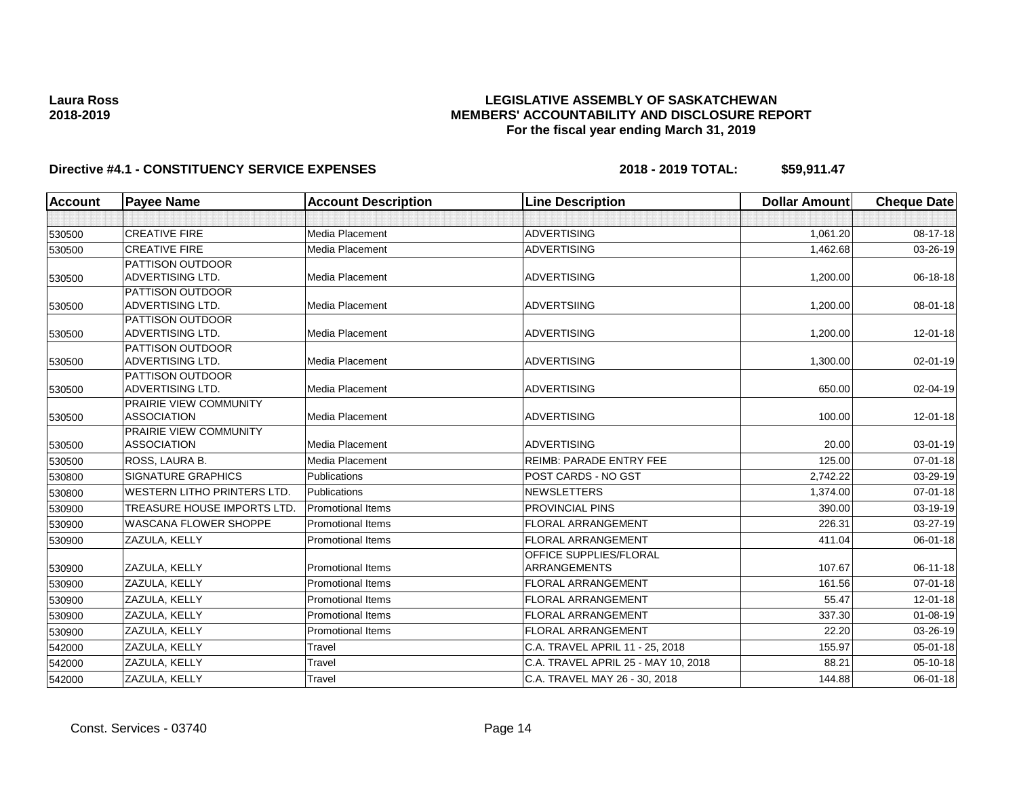### **LEGISLATIVE ASSEMBLY OF SASKATCHEWAN MEMBERS' ACCOUNTABILITY AND DISCLOSURE REPORT For the fiscal year ending March 31, 2019**

| Account | <b>Payee Name</b>                           | <b>Account Description</b> | <b>Line Description</b>             | <b>Dollar Amount</b> | <b>Cheque Date</b> |
|---------|---------------------------------------------|----------------------------|-------------------------------------|----------------------|--------------------|
|         |                                             |                            |                                     |                      |                    |
| 530500  | <b>CREATIVE FIRE</b>                        | <b>Media Placement</b>     | <b>ADVERTISING</b>                  | 1.061.20             | $08 - 17 - 18$     |
| 530500  | <b>CREATIVE FIRE</b>                        | Media Placement            | <b>ADVERTISING</b>                  | 1,462.68             | 03-26-19           |
|         | PATTISON OUTDOOR                            |                            |                                     |                      |                    |
| 530500  | <b>ADVERTISING LTD.</b>                     | Media Placement            | <b>ADVERTISING</b>                  | 1,200.00             | 06-18-18           |
|         | <b>PATTISON OUTDOOR</b>                     |                            |                                     |                      |                    |
| 530500  | <b>ADVERTISING LTD.</b>                     | Media Placement            | <b>ADVERTSIING</b>                  | 1,200.00             | $08 - 01 - 18$     |
|         | <b>PATTISON OUTDOOR</b>                     |                            |                                     |                      |                    |
| 530500  | <b>ADVERTISING LTD.</b>                     | Media Placement            | <b>ADVERTISING</b>                  | 1,200.00             | 12-01-18           |
|         | <b>PATTISON OUTDOOR</b>                     |                            |                                     |                      |                    |
| 530500  | <b>ADVERTISING LTD.</b>                     | Media Placement            | <b>ADVERTISING</b>                  | 1,300.00             | $02 - 01 - 19$     |
| 530500  | <b>PATTISON OUTDOOR</b><br>ADVERTISING LTD. | Media Placement            | <b>ADVERTISING</b>                  | 650.00               | 02-04-19           |
|         | PRAIRIE VIEW COMMUNITY                      |                            |                                     |                      |                    |
| 530500  | <b>ASSOCIATION</b>                          | Media Placement            | <b>ADVERTISING</b>                  | 100.00               | 12-01-18           |
|         | <b>PRAIRIE VIEW COMMUNITY</b>               |                            |                                     |                      |                    |
| 530500  | <b>ASSOCIATION</b>                          | Media Placement            | <b>ADVERTISING</b>                  | 20.00                | 03-01-19           |
| 530500  | ROSS, LAURA B.                              | Media Placement            | <b>REIMB: PARADE ENTRY FEE</b>      | 125.00               | $07 - 01 - 18$     |
| 530800  | <b>SIGNATURE GRAPHICS</b>                   | <b>Publications</b>        | <b>POST CARDS - NO GST</b>          | 2,742.22             | 03-29-19           |
| 530800  | <b>WESTERN LITHO PRINTERS LTD.</b>          | Publications               | <b>NEWSLETTERS</b>                  | 1,374.00             | 07-01-18           |
| 530900  | <b>TREASURE HOUSE IMPORTS LTD.</b>          | <b>Promotional Items</b>   | <b>PROVINCIAL PINS</b>              | 390.00               | 03-19-19           |
| 530900  | <b>WASCANA FLOWER SHOPPE</b>                | <b>Promotional Items</b>   | <b>FLORAL ARRANGEMENT</b>           | 226.31               | 03-27-19           |
| 530900  | ZAZULA, KELLY                               | <b>Promotional Items</b>   | <b>FLORAL ARRANGEMENT</b>           | 411.04               | 06-01-18           |
|         |                                             |                            | <b>OFFICE SUPPLIES/FLORAL</b>       |                      |                    |
| 530900  | ZAZULA, KELLY                               | <b>Promotional Items</b>   | ARRANGEMENTS                        | 107.67               | 06-11-18           |
| 530900  | ZAZULA, KELLY                               | <b>Promotional Items</b>   | <b>FLORAL ARRANGEMENT</b>           | 161.56               | $07 - 01 - 18$     |
| 530900  | ZAZULA, KELLY                               | <b>Promotional Items</b>   | <b>FLORAL ARRANGEMENT</b>           | 55.47                | 12-01-18           |
| 530900  | ZAZULA, KELLY                               | <b>Promotional Items</b>   | <b>FLORAL ARRANGEMENT</b>           | 337.30               | 01-08-19           |
| 530900  | ZAZULA, KELLY                               | <b>Promotional Items</b>   | FLORAL ARRANGEMENT                  | 22.20                | 03-26-19           |
| 542000  | ZAZULA, KELLY                               | Travel                     | C.A. TRAVEL APRIL 11 - 25, 2018     | 155.97               | $05 - 01 - 18$     |
| 542000  | ZAZULA, KELLY                               | Travel                     | C.A. TRAVEL APRIL 25 - MAY 10, 2018 | 88.21                | 05-10-18           |
| 542000  | ZAZULA, KELLY                               | Travel                     | C.A. TRAVEL MAY 26 - 30, 2018       | 144.88               | 06-01-18           |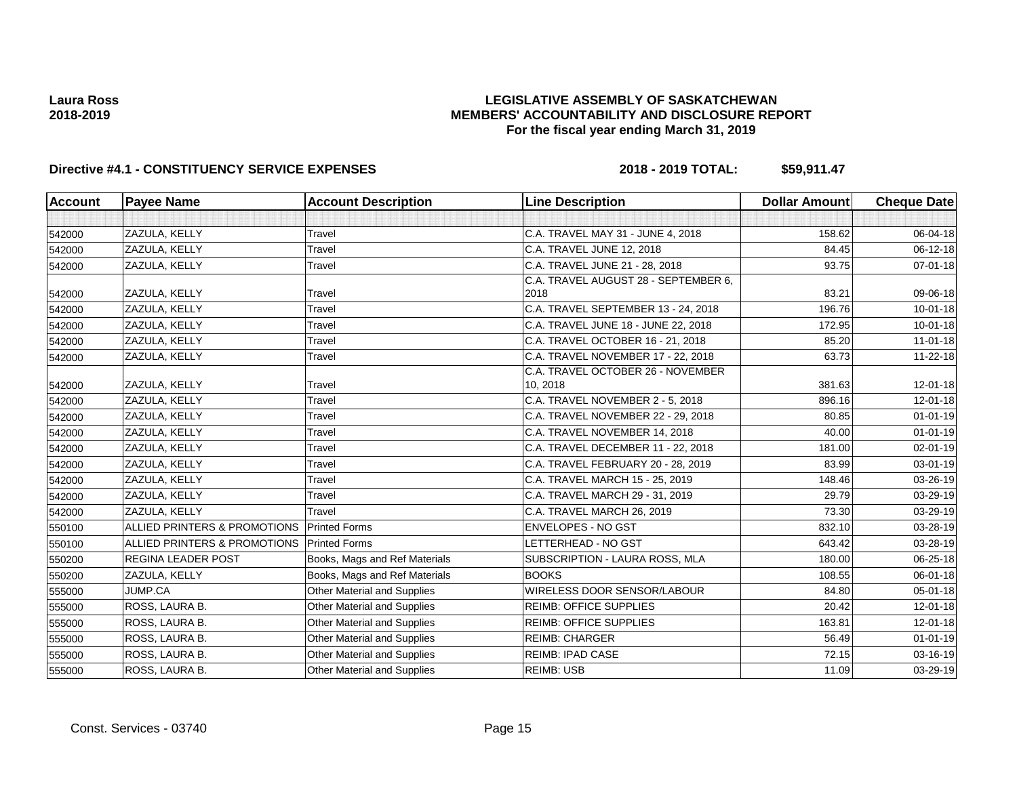### **LEGISLATIVE ASSEMBLY OF SASKATCHEWAN MEMBERS' ACCOUNTABILITY AND DISCLOSURE REPORT For the fiscal year ending March 31, 2019**

| <b>Account</b> | <b>Payee Name</b>                          | <b>Account Description</b>         | <b>Line Description</b>              | <b>Dollar Amount</b> | <b>Cheque Date</b> |
|----------------|--------------------------------------------|------------------------------------|--------------------------------------|----------------------|--------------------|
|                |                                            |                                    |                                      |                      |                    |
| 542000         | ZAZULA, KELLY                              | Travel                             | C.A. TRAVEL MAY 31 - JUNE 4, 2018    | 158.62               | 06-04-18           |
| 542000         | ZAZULA, KELLY                              | Travel                             | C.A. TRAVEL JUNE 12, 2018            | 84.45                | $06 - 12 - 18$     |
| 542000         | ZAZULA, KELLY                              | Travel                             | C.A. TRAVEL JUNE 21 - 28, 2018       | 93.75                | $07 - 01 - 18$     |
|                |                                            |                                    | C.A. TRAVEL AUGUST 28 - SEPTEMBER 6, |                      |                    |
| 542000         | ZAZULA, KELLY                              | Travel                             | 2018                                 | 83.21                | 09-06-18           |
| 542000         | ZAZULA, KELLY                              | Travel                             | C.A. TRAVEL SEPTEMBER 13 - 24, 2018  | 196.76               | $10 - 01 - 18$     |
| 542000         | ZAZULA, KELLY                              | Travel                             | C.A. TRAVEL JUNE 18 - JUNE 22, 2018  | 172.95               | $10 - 01 - 18$     |
| 542000         | ZAZULA, KELLY                              | Travel                             | C.A. TRAVEL OCTOBER 16 - 21, 2018    | 85.20                | $11-01-18$         |
| 542000         | ZAZULA, KELLY                              | Travel                             | C.A. TRAVEL NOVEMBER 17 - 22, 2018   | 63.73                | $11 - 22 - 18$     |
|                |                                            |                                    | C.A. TRAVEL OCTOBER 26 - NOVEMBER    |                      |                    |
| 542000         | ZAZULA, KELLY                              | Travel                             | 10, 2018                             | 381.63               | 12-01-18           |
| 542000         | ZAZULA, KELLY                              | Travel                             | C.A. TRAVEL NOVEMBER 2 - 5, 2018     | 896.16               | $12 - 01 - 18$     |
| 542000         | ZAZULA, KELLY                              | Travel                             | C.A. TRAVEL NOVEMBER 22 - 29, 2018   | 80.85                | $01 - 01 - 19$     |
| 542000         | ZAZULA, KELLY                              | Travel                             | C.A. TRAVEL NOVEMBER 14, 2018        | 40.00                | $01 - 01 - 19$     |
| 542000         | ZAZULA, KELLY                              | Travel                             | C.A. TRAVEL DECEMBER 11 - 22, 2018   | 181.00               | 02-01-19           |
| 542000         | ZAZULA, KELLY                              | Travel                             | C.A. TRAVEL FEBRUARY 20 - 28, 2019   | 83.99                | 03-01-19           |
| 542000         | ZAZULA, KELLY                              | Travel                             | C.A. TRAVEL MARCH 15 - 25, 2019      | 148.46               | 03-26-19           |
| 542000         | ZAZULA, KELLY                              | Travel                             | C.A. TRAVEL MARCH 29 - 31, 2019      | 29.79                | 03-29-19           |
| 542000         | ZAZULA, KELLY                              | Travel                             | C.A. TRAVEL MARCH 26, 2019           | 73.30                | 03-29-19           |
| 550100         | ALLIED PRINTERS & PROMOTIONS Printed Forms |                                    | <b>ENVELOPES - NO GST</b>            | 832.10               | 03-28-19           |
| 550100         | ALLIED PRINTERS & PROMOTIONS               | <b>Printed Forms</b>               | LETTERHEAD - NO GST                  | 643.42               | 03-28-19           |
| 550200         | <b>REGINA LEADER POST</b>                  | Books, Mags and Ref Materials      | SUBSCRIPTION - LAURA ROSS, MLA       | 180.00               | 06-25-18           |
| 550200         | ZAZULA, KELLY                              | Books, Mags and Ref Materials      | <b>BOOKS</b>                         | 108.55               | 06-01-18           |
| 555000         | JUMP.CA                                    | Other Material and Supplies        | WIRELESS DOOR SENSOR/LABOUR          | 84.80                | 05-01-18           |
| 555000         | ROSS, LAURA B.                             | Other Material and Supplies        | <b>REIMB: OFFICE SUPPLIES</b>        | 20.42                | 12-01-18           |
| 555000         | ROSS, LAURA B.                             | <b>Other Material and Supplies</b> | <b>REIMB: OFFICE SUPPLIES</b>        | 163.81               | 12-01-18           |
| 555000         | ROSS, LAURA B.                             | Other Material and Supplies        | REIMB: CHARGER                       | 56.49                | $01 - 01 - 19$     |
| 555000         | ROSS, LAURA B.                             | Other Material and Supplies        | <b>REIMB: IPAD CASE</b>              | 72.15                | 03-16-19           |
| 555000         | ROSS, LAURA B.                             | Other Material and Supplies        | <b>REIMB: USB</b>                    | 11.09                | 03-29-19           |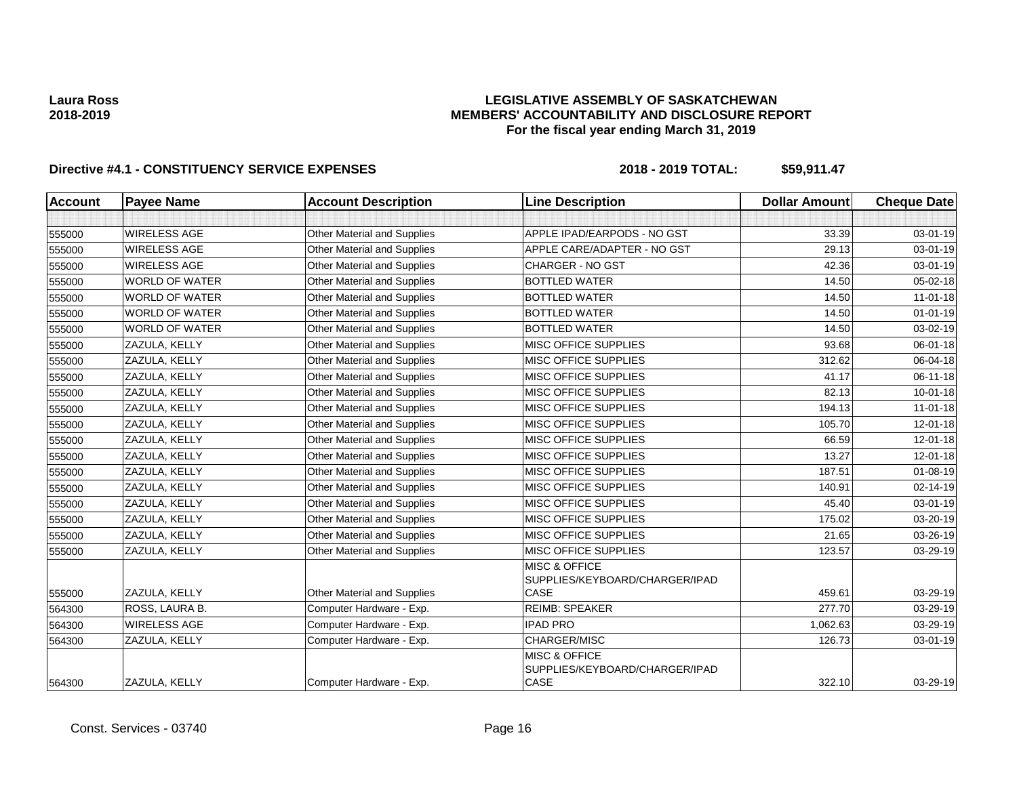### **LEGISLATIVE ASSEMBLY OF SASKATCHEWAN MEMBERS' ACCOUNTABILITY AND DISCLOSURE REPORT For the fiscal year ending March 31, 2019**

| <b>Account</b> | <b>Payee Name</b>     | <b>Account Description</b>         | <b>Line Description</b>                                                   | <b>Dollar Amount</b> | <b>Cheque Date</b> |
|----------------|-----------------------|------------------------------------|---------------------------------------------------------------------------|----------------------|--------------------|
|                |                       |                                    |                                                                           |                      |                    |
| 555000         | <b>WIRELESS AGE</b>   | Other Material and Supplies        | APPLE IPAD/EARPODS - NO GST                                               | 33.39                | 03-01-19           |
| 555000         | WIRELESS AGE          | <b>Other Material and Supplies</b> | APPLE CARE/ADAPTER - NO GST                                               | 29.13                | 03-01-19           |
| 555000         | WIRELESS AGE          | Other Material and Supplies        | <b>CHARGER - NO GST</b>                                                   | 42.36                | 03-01-19           |
| 555000         | <b>WORLD OF WATER</b> | <b>Other Material and Supplies</b> | <b>BOTTLED WATER</b>                                                      | 14.50                | 05-02-18           |
| 555000         | <b>WORLD OF WATER</b> | <b>Other Material and Supplies</b> | <b>BOTTLED WATER</b>                                                      | 14.50                | $11-01-18$         |
| 555000         | <b>WORLD OF WATER</b> | Other Material and Supplies        | <b>BOTTLED WATER</b>                                                      | 14.50                | $01 - 01 - 19$     |
| 555000         | <b>WORLD OF WATER</b> | <b>Other Material and Supplies</b> | <b>BOTTLED WATER</b>                                                      | 14.50                | 03-02-19           |
| 555000         | ZAZULA, KELLY         | Other Material and Supplies        | MISC OFFICE SUPPLIES                                                      | 93.68                | 06-01-18           |
| 555000         | ZAZULA, KELLY         | <b>Other Material and Supplies</b> | <b>MISC OFFICE SUPPLIES</b>                                               | 312.62               | 06-04-18           |
| 555000         | ZAZULA, KELLY         | Other Material and Supplies        | MISC OFFICE SUPPLIES                                                      | 41.17                | 06-11-18           |
| 555000         | ZAZULA, KELLY         | Other Material and Supplies        | <b>MISC OFFICE SUPPLIES</b>                                               | 82.13                | $10 - 01 - 18$     |
| 555000         | ZAZULA, KELLY         | <b>Other Material and Supplies</b> | <b>MISC OFFICE SUPPLIES</b>                                               | 194.13               | $11 - 01 - 18$     |
| 555000         | ZAZULA, KELLY         | Other Material and Supplies        | <b>MISC OFFICE SUPPLIES</b>                                               | 105.70               | 12-01-18           |
| 555000         | ZAZULA, KELLY         | Other Material and Supplies        | <b>MISC OFFICE SUPPLIES</b>                                               | 66.59                | 12-01-18           |
| 555000         | ZAZULA, KELLY         | <b>Other Material and Supplies</b> | MISC OFFICE SUPPLIES                                                      | 13.27                | 12-01-18           |
| 555000         | ZAZULA, KELLY         | Other Material and Supplies        | <b>MISC OFFICE SUPPLIES</b>                                               | 187.51               | $01 - 08 - 19$     |
| 555000         | ZAZULA, KELLY         | Other Material and Supplies        | <b>MISC OFFICE SUPPLIES</b>                                               | 140.91               | 02-14-19           |
| 555000         | ZAZULA, KELLY         | <b>Other Material and Supplies</b> | MISC OFFICE SUPPLIES                                                      | 45.40                | 03-01-19           |
| 555000         | ZAZULA, KELLY         | <b>Other Material and Supplies</b> | <b>MISC OFFICE SUPPLIES</b>                                               | 175.02               | 03-20-19           |
| 555000         | ZAZULA, KELLY         | Other Material and Supplies        | MISC OFFICE SUPPLIES                                                      | 21.65                | 03-26-19           |
| 555000         | ZAZULA, KELLY         | Other Material and Supplies        | MISC OFFICE SUPPLIES                                                      | 123.57               | 03-29-19           |
| 555000         | <b>ZAZULA, KELLY</b>  | <b>Other Material and Supplies</b> | <b>MISC &amp; OFFICE</b><br>SUPPLIES/KEYBOARD/CHARGER/IPAD<br>CASE        | 459.61               | 03-29-19           |
| 564300         | ROSS, LAURA B.        | Computer Hardware - Exp.           | <b>REIMB: SPEAKER</b>                                                     | 277.70               | 03-29-19           |
| 564300         | WIRELESS AGE          | Computer Hardware - Exp.           | <b>IPAD PRO</b>                                                           | 1,062.63             | 03-29-19           |
| 564300         | ZAZULA, KELLY         | Computer Hardware - Exp.           | CHARGER/MISC                                                              | 126.73               | $03 - 01 - 19$     |
| 564300         | ZAZULA, KELLY         | Computer Hardware - Exp.           | <b>MISC &amp; OFFICE</b><br>SUPPLIES/KEYBOARD/CHARGER/IPAD<br><b>CASE</b> | 322.10               | 03-29-19           |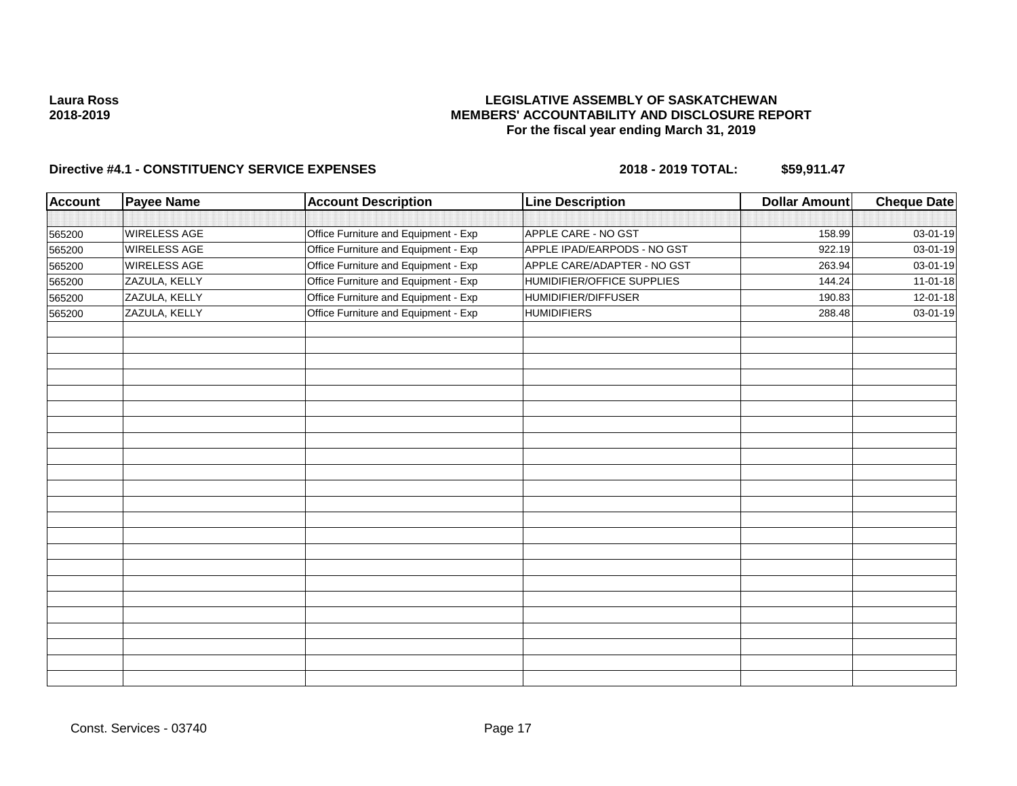### **LEGISLATIVE ASSEMBLY OF SASKATCHEWAN MEMBERS' ACCOUNTABILITY AND DISCLOSURE REPORT For the fiscal year ending March 31, 2019**

| <b>Account</b> | <b>Payee Name</b>   | <b>Account Description</b>           | <b>Line Description</b>     | <b>Dollar Amount</b> | <b>Cheque Date</b> |
|----------------|---------------------|--------------------------------------|-----------------------------|----------------------|--------------------|
|                |                     |                                      |                             |                      |                    |
| 565200         | <b>WIRELESS AGE</b> | Office Furniture and Equipment - Exp | APPLE CARE - NO GST         | 158.99               | 03-01-19           |
| 565200         | <b>WIRELESS AGE</b> | Office Furniture and Equipment - Exp | APPLE IPAD/EARPODS - NO GST | 922.19               | 03-01-19           |
| 565200         | <b>WIRELESS AGE</b> | Office Furniture and Equipment - Exp | APPLE CARE/ADAPTER - NO GST | 263.94               | 03-01-19           |
| 565200         | ZAZULA, KELLY       | Office Furniture and Equipment - Exp | HUMIDIFIER/OFFICE SUPPLIES  | 144.24               | 11-01-18           |
| 565200         | ZAZULA, KELLY       | Office Furniture and Equipment - Exp | HUMIDIFIER/DIFFUSER         | 190.83               | 12-01-18           |
| 565200         | ZAZULA, KELLY       | Office Furniture and Equipment - Exp | <b>HUMIDIFIERS</b>          | 288.48               | 03-01-19           |
|                |                     |                                      |                             |                      |                    |
|                |                     |                                      |                             |                      |                    |
|                |                     |                                      |                             |                      |                    |
|                |                     |                                      |                             |                      |                    |
|                |                     |                                      |                             |                      |                    |
|                |                     |                                      |                             |                      |                    |
|                |                     |                                      |                             |                      |                    |
|                |                     |                                      |                             |                      |                    |
|                |                     |                                      |                             |                      |                    |
|                |                     |                                      |                             |                      |                    |
|                |                     |                                      |                             |                      |                    |
|                |                     |                                      |                             |                      |                    |
|                |                     |                                      |                             |                      |                    |
|                |                     |                                      |                             |                      |                    |
|                |                     |                                      |                             |                      |                    |
|                |                     |                                      |                             |                      |                    |
|                |                     |                                      |                             |                      |                    |
|                |                     |                                      |                             |                      |                    |
|                |                     |                                      |                             |                      |                    |
|                |                     |                                      |                             |                      |                    |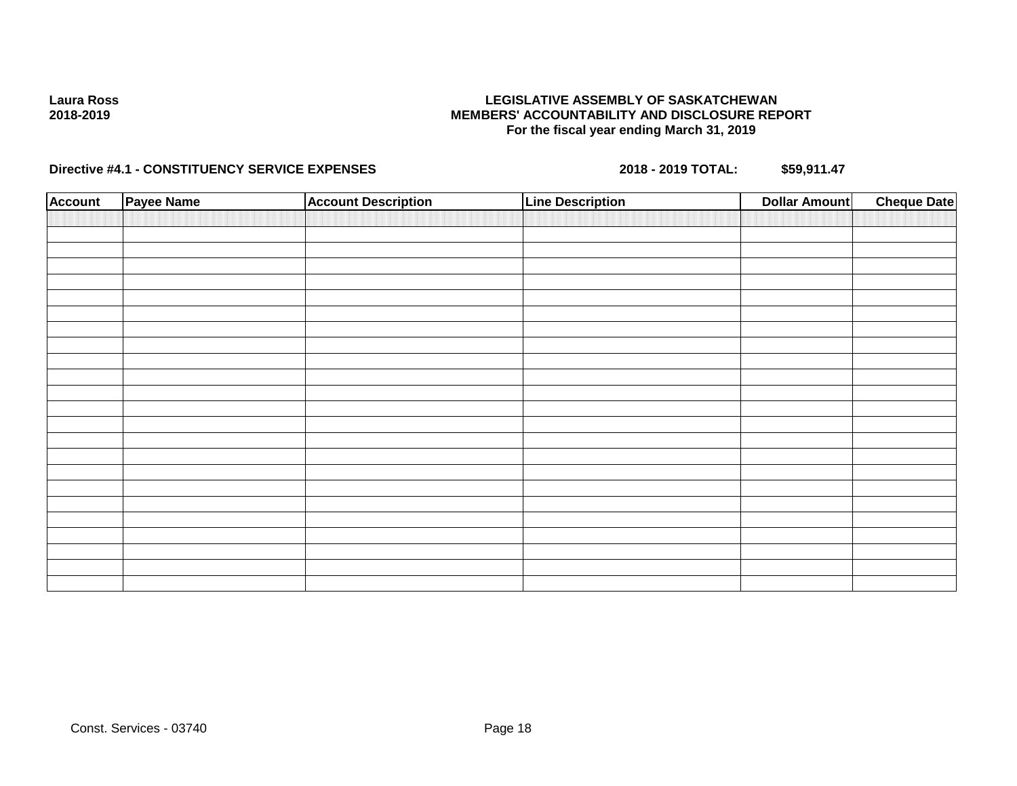### **LEGISLATIVE ASSEMBLY OF SASKATCHEWAN MEMBERS' ACCOUNTABILITY AND DISCLOSURE REPORT For the fiscal year ending March 31, 2019**

| <b>Account</b> | Payee Name | <b>Account Description</b> | <b>Line Description</b> | <b>Dollar Amount</b> | <b>Cheque Date</b> |
|----------------|------------|----------------------------|-------------------------|----------------------|--------------------|
|                |            |                            |                         |                      |                    |
|                |            |                            |                         |                      |                    |
|                |            |                            |                         |                      |                    |
|                |            |                            |                         |                      |                    |
|                |            |                            |                         |                      |                    |
|                |            |                            |                         |                      |                    |
|                |            |                            |                         |                      |                    |
|                |            |                            |                         |                      |                    |
|                |            |                            |                         |                      |                    |
|                |            |                            |                         |                      |                    |
|                |            |                            |                         |                      |                    |
|                |            |                            |                         |                      |                    |
|                |            |                            |                         |                      |                    |
|                |            |                            |                         |                      |                    |
|                |            |                            |                         |                      |                    |
|                |            |                            |                         |                      |                    |
|                |            |                            |                         |                      |                    |
|                |            |                            |                         |                      |                    |
|                |            |                            |                         |                      |                    |
|                |            |                            |                         |                      |                    |
|                |            |                            |                         |                      |                    |
|                |            |                            |                         |                      |                    |
|                |            |                            |                         |                      |                    |
|                |            |                            |                         |                      |                    |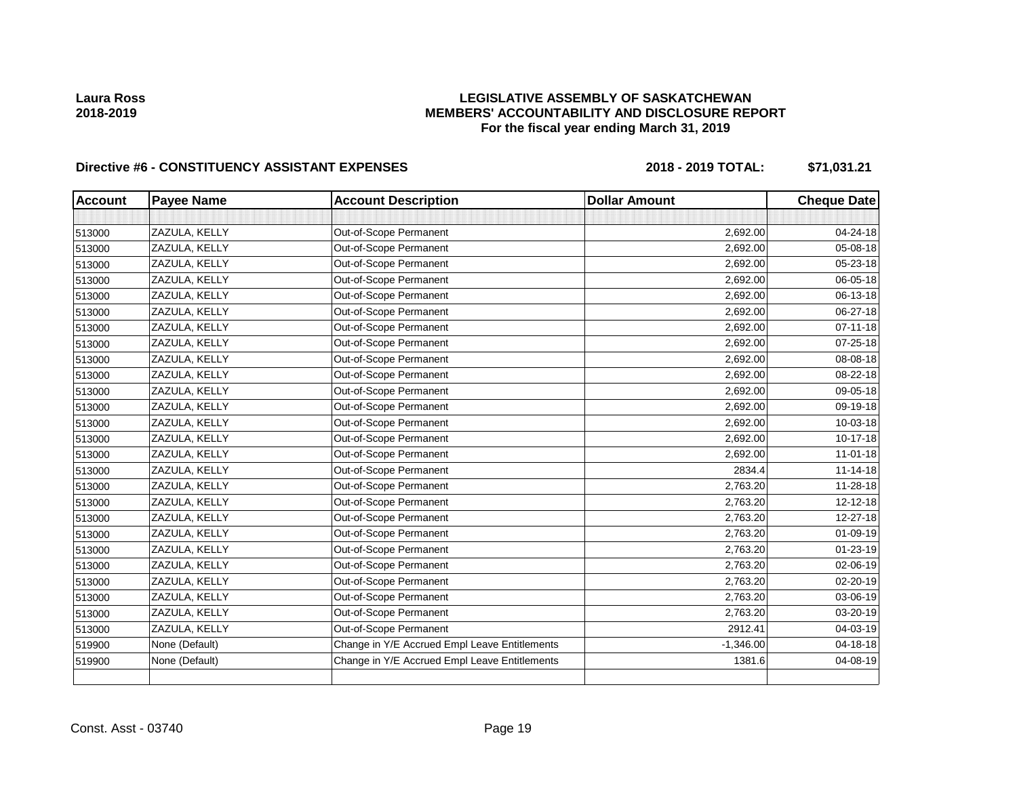### **LEGISLATIVE ASSEMBLY OF SASKATCHEWAN MEMBERS' ACCOUNTABILITY AND DISCLOSURE REPORT For the fiscal year ending March 31, 2019**

| <b>Account</b> | <b>Payee Name</b> | <b>Account Description</b>                    | <b>Dollar Amount</b> | <b>Cheque Date</b> |
|----------------|-------------------|-----------------------------------------------|----------------------|--------------------|
|                |                   |                                               |                      |                    |
| 513000         | ZAZULA, KELLY     | Out-of-Scope Permanent                        | 2,692.00             | 04-24-18           |
| 513000         | ZAZULA, KELLY     | Out-of-Scope Permanent                        | 2,692.00             | 05-08-18           |
| 513000         | ZAZULA, KELLY     | Out-of-Scope Permanent                        | 2,692.00             | 05-23-18           |
| 513000         | ZAZULA, KELLY     | Out-of-Scope Permanent                        | 2,692.00             | 06-05-18           |
| 513000         | ZAZULA, KELLY     | Out-of-Scope Permanent                        | 2,692.00             | 06-13-18           |
| 513000         | ZAZULA, KELLY     | Out-of-Scope Permanent                        | 2,692.00             | 06-27-18           |
| 513000         | ZAZULA, KELLY     | Out-of-Scope Permanent                        | 2,692.00             | $07 - 11 - 18$     |
| 513000         | ZAZULA, KELLY     | Out-of-Scope Permanent                        | 2,692.00             | 07-25-18           |
| 513000         | ZAZULA, KELLY     | Out-of-Scope Permanent                        | 2,692.00             | 08-08-18           |
| 513000         | ZAZULA, KELLY     | Out-of-Scope Permanent                        | 2,692.00             | 08-22-18           |
| 513000         | ZAZULA, KELLY     | Out-of-Scope Permanent                        | 2,692.00             | 09-05-18           |
| 513000         | ZAZULA, KELLY     | Out-of-Scope Permanent                        | 2,692.00             | 09-19-18           |
| 513000         | ZAZULA, KELLY     | Out-of-Scope Permanent                        | 2,692.00             | 10-03-18           |
| 513000         | ZAZULA, KELLY     | Out-of-Scope Permanent                        | 2,692.00             | 10-17-18           |
| 513000         | ZAZULA, KELLY     | Out-of-Scope Permanent                        | 2,692.00             | $11 - 01 - 18$     |
| 513000         | ZAZULA, KELLY     | Out-of-Scope Permanent                        | 2834.4               | $11 - 14 - 18$     |
| 513000         | ZAZULA, KELLY     | Out-of-Scope Permanent                        | 2,763.20             | 11-28-18           |
| 513000         | ZAZULA, KELLY     | Out-of-Scope Permanent                        | 2,763.20             | $12 - 12 - 18$     |
| 513000         | ZAZULA, KELLY     | Out-of-Scope Permanent                        | 2,763.20             | 12-27-18           |
| 513000         | ZAZULA, KELLY     | Out-of-Scope Permanent                        | 2,763.20             | 01-09-19           |
| 513000         | ZAZULA, KELLY     | Out-of-Scope Permanent                        | 2,763.20             | $01 - 23 - 19$     |
| 513000         | ZAZULA, KELLY     | Out-of-Scope Permanent                        | 2,763.20             | 02-06-19           |
| 513000         | ZAZULA, KELLY     | Out-of-Scope Permanent                        | 2,763.20             | 02-20-19           |
| 513000         | ZAZULA, KELLY     | Out-of-Scope Permanent                        | 2,763.20             | 03-06-19           |
| 513000         | ZAZULA, KELLY     | Out-of-Scope Permanent                        | 2,763.20             | 03-20-19           |
| 513000         | ZAZULA, KELLY     | Out-of-Scope Permanent                        | 2912.41              | 04-03-19           |
| 519900         | None (Default)    | Change in Y/E Accrued Empl Leave Entitlements | $-1,346.00$          | $04 - 18 - 18$     |
| 519900         | None (Default)    | Change in Y/E Accrued Empl Leave Entitlements | 1381.6               | 04-08-19           |
|                |                   |                                               |                      |                    |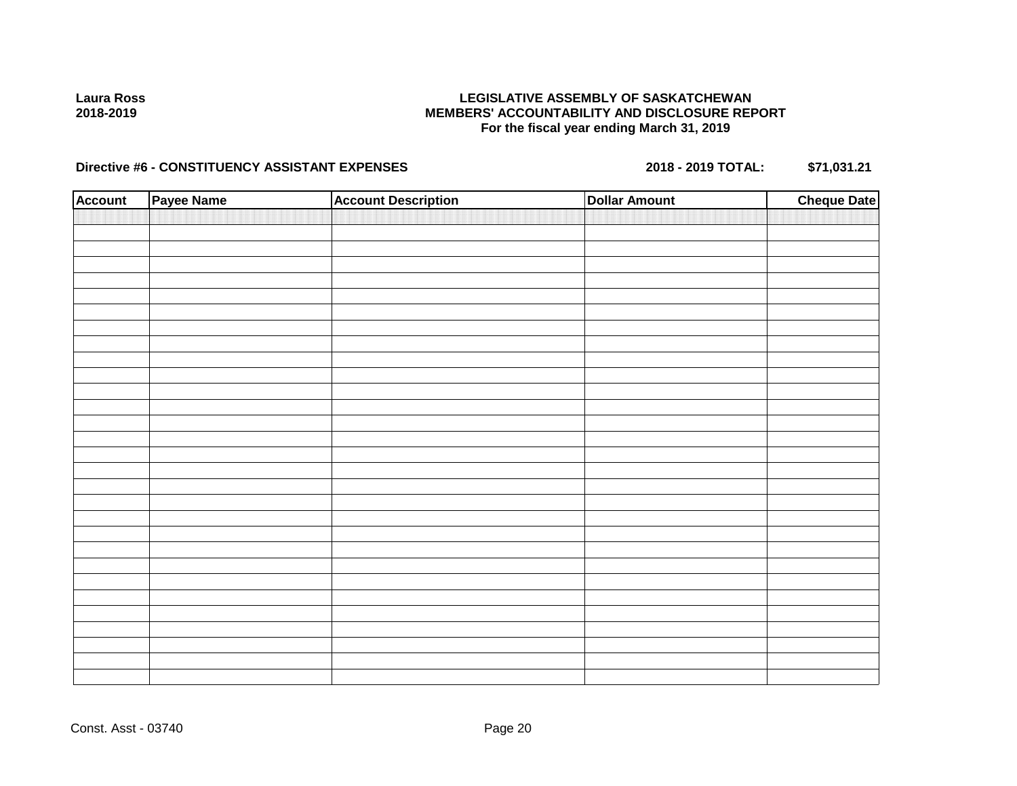### **LEGISLATIVE ASSEMBLY OF SASKATCHEWAN MEMBERS' ACCOUNTABILITY AND DISCLOSURE REPORT For the fiscal year ending March 31, 2019**

| <b>Account</b> | Payee Name | <b>Account Description</b> | <b>Dollar Amount</b> | <b>Cheque Date</b> |
|----------------|------------|----------------------------|----------------------|--------------------|
|                |            |                            |                      |                    |
|                |            |                            |                      |                    |
|                |            |                            |                      |                    |
|                |            |                            |                      |                    |
|                |            |                            |                      |                    |
|                |            |                            |                      |                    |
|                |            |                            |                      |                    |
|                |            |                            |                      |                    |
|                |            |                            |                      |                    |
|                |            |                            |                      |                    |
|                |            |                            |                      |                    |
|                |            |                            |                      |                    |
|                |            |                            |                      |                    |
|                |            |                            |                      |                    |
|                |            |                            |                      |                    |
|                |            |                            |                      |                    |
|                |            |                            |                      |                    |
|                |            |                            |                      |                    |
|                |            |                            |                      |                    |
|                |            |                            |                      |                    |
|                |            |                            |                      |                    |
|                |            |                            |                      |                    |
|                |            |                            |                      |                    |
|                |            |                            |                      |                    |
|                |            |                            |                      |                    |
|                |            |                            |                      |                    |
|                |            |                            |                      |                    |
|                |            |                            |                      |                    |
|                |            |                            |                      |                    |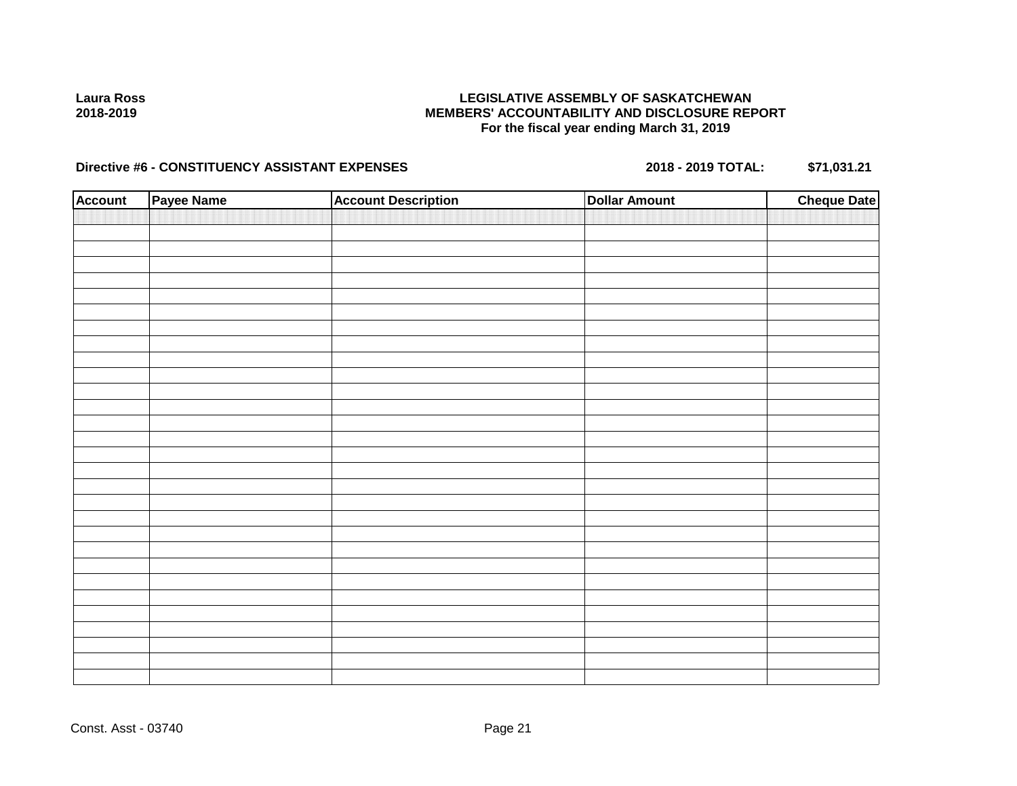### **LEGISLATIVE ASSEMBLY OF SASKATCHEWAN MEMBERS' ACCOUNTABILITY AND DISCLOSURE REPORT For the fiscal year ending March 31, 2019**

| <b>Account</b> | Payee Name | <b>Account Description</b> | <b>Dollar Amount</b> | <b>Cheque Date</b> |
|----------------|------------|----------------------------|----------------------|--------------------|
|                |            |                            |                      |                    |
|                |            |                            |                      |                    |
|                |            |                            |                      |                    |
|                |            |                            |                      |                    |
|                |            |                            |                      |                    |
|                |            |                            |                      |                    |
|                |            |                            |                      |                    |
|                |            |                            |                      |                    |
|                |            |                            |                      |                    |
|                |            |                            |                      |                    |
|                |            |                            |                      |                    |
|                |            |                            |                      |                    |
|                |            |                            |                      |                    |
|                |            |                            |                      |                    |
|                |            |                            |                      |                    |
|                |            |                            |                      |                    |
|                |            |                            |                      |                    |
|                |            |                            |                      |                    |
|                |            |                            |                      |                    |
|                |            |                            |                      |                    |
|                |            |                            |                      |                    |
|                |            |                            |                      |                    |
|                |            |                            |                      |                    |
|                |            |                            |                      |                    |
|                |            |                            |                      |                    |
|                |            |                            |                      |                    |
|                |            |                            |                      |                    |
|                |            |                            |                      |                    |
|                |            |                            |                      |                    |